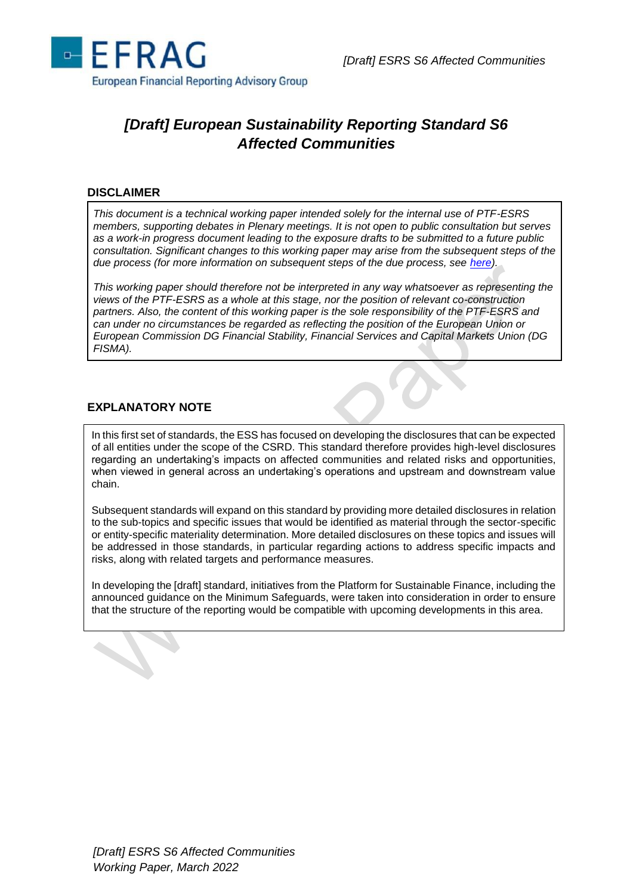

# *[Draft] European Sustainability Reporting Standard S6 Affected Communities*

#### **DISCLAIMER**

*This document is a technical working paper intended solely for the internal use of PTF-ESRS members, supporting debates in Plenary meetings. It is not open to public consultation but serves as a work-in progress document leading to the exposure drafts to be submitted to a future public consultation. Significant changes to this working paper may arise from the subsequent steps of the due process (for more information on subsequent steps of the due process, see [here\)](https://www.efrag.org/Assets/Download?assetUrl=/sites/webpublishing/SiteAssets/Cover%20note%20for%20Batch%201%20WPs.pdf).*

*This working paper should therefore not be interpreted in any way whatsoever as representing the views of the PTF-ESRS as a whole at this stage, nor the position of relevant co-construction partners. Also, the content of this working paper is the sole responsibility of the PTF-ESRS and can under no circumstances be regarded as reflecting the position of the European Union or European Commission DG Financial Stability, Financial Services and Capital Markets Union (DG FISMA).*

# **EXPLANATORY NOTE**

In this first set of standards, the ESS has focused on developing the disclosures that can be expected of all entities under the scope of the CSRD. This standard therefore provides high-level disclosures regarding an undertaking's impacts on affected communities and related risks and opportunities, when viewed in general across an undertaking's operations and upstream and downstream value chain.

Subsequent standards will expand on this standard by providing more detailed disclosures in relation to the sub-topics and specific issues that would be identified as material through the sector-specific or entity-specific materiality determination. More detailed disclosures on these topics and issues will be addressed in those standards, in particular regarding actions to address specific impacts and risks, along with related targets and performance measures.

In developing the [draft] standard, initiatives from the Platform for Sustainable Finance, including the announced guidance on the Minimum Safeguards, were taken into consideration in order to ensure that the structure of the reporting would be compatible with upcoming developments in this area.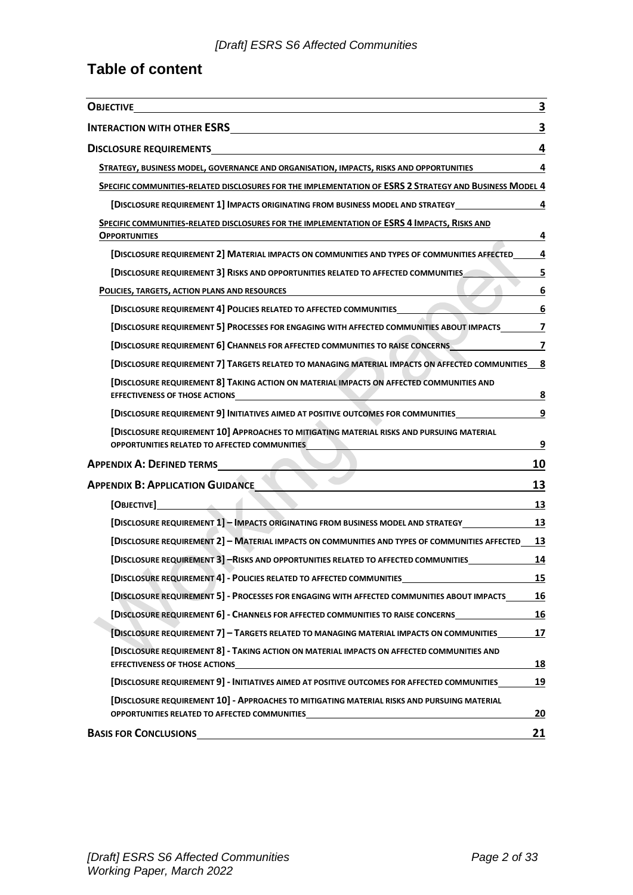# **Table of content**

| <b>OBJECTIVE</b>                                                                                                                             | 3                |
|----------------------------------------------------------------------------------------------------------------------------------------------|------------------|
| <b>INTERACTION WITH OTHER ESRS</b>                                                                                                           | 3                |
| <b>DISCLOSURE REQUIREMENTS</b>                                                                                                               | 4                |
| STRATEGY, BUSINESS MODEL, GOVERNANCE AND ORGANISATION, IMPACTS, RISKS AND OPPORTUNITIES                                                      | 4                |
| SPECIFIC COMMUNITIES-RELATED DISCLOSURES FOR THE IMPLEMENTATION OF ESRS 2 STRATEGY AND BUSINESS MODEL 4                                      |                  |
| [DISCLOSURE REQUIREMENT 1] IMPACTS ORIGINATING FROM BUSINESS MODEL AND STRATEGY_____________________                                         | 4                |
| SPECIFIC COMMUNITIES-RELATED DISCLOSURES FOR THE IMPLEMENTATION OF ESRS 4 IMPACTS, RISKS AND<br>Opportunities                                | 4                |
| [DISCLOSURE REQUIREMENT 2] MATERIAL IMPACTS ON COMMUNITIES AND TYPES OF COMMUNITIES AFFECTED_                                                | 4                |
| [DISCLOSURE REQUIREMENT 3] RISKS AND OPPORTUNITIES RELATED TO AFFECTED COMMUNITIES                                                           | 5                |
| POLICIES, TARGETS, ACTION PLANS AND RESOURCES                                                                                                | $6 \overline{6}$ |
| [DISCLOSURE REQUIREMENT 4] POLICIES RELATED TO AFFECTED COMMUNITIES                                                                          | 6                |
| [DISCLOSURE REQUIREMENT 5] PROCESSES FOR ENGAGING WITH AFFECTED COMMUNITIES ABOUT IMPACTS_____                                               | $\overline{7}$   |
| [DISCLOSURE REQUIREMENT 6] CHANNELS FOR AFFECTED COMMUNITIES TO RAISE CONCERNS                                                               | 7                |
| [DISCLOSURE REQUIREMENT 7] TARGETS RELATED TO MANAGING MATERIAL IMPACTS ON AFFECTED COMMUNITIES                                              | 8                |
| [DISCLOSURE REQUIREMENT 8] TAKING ACTION ON MATERIAL IMPACTS ON AFFECTED COMMUNITIES AND                                                     | 8                |
| [DISCLOSURE REQUIREMENT 9] INITIATIVES AIMED AT POSITIVE OUTCOMES FOR COMMUNITIES_                                                           | 9                |
| [DISCLOSURE REQUIREMENT 10] APPROACHES TO MITIGATING MATERIAL RISKS AND PURSUING MATERIAL<br>OPPORTUNITIES RELATED TO AFFECTED COMMUNITIES   | 9                |
| <b>APPENDIX A: DEFINED TERMS_</b>                                                                                                            | 10               |
| <b>APPENDIX B: APPLICATION GUIDANCE</b>                                                                                                      | 13               |
|                                                                                                                                              | 13               |
| [DISCLOSURE REQUIREMENT 1] - IMPACTS ORIGINATING FROM BUSINESS MODEL AND STRATEGY__________________                                          | <u>13</u>        |
| [DISCLOSURE REQUIREMENT 2] - MATERIAL IMPACTS ON COMMUNITIES AND TYPES OF COMMUNITIES AFFECTED                                               | 13               |
| [DISCLOSURE REQUIREMENT 3] -RISKS AND OPPORTUNITIES RELATED TO AFFECTED COMMUNITIES                                                          | 14               |
| [DISCLOSURE REQUIREMENT 4] - POLICIES RELATED TO AFFECTED COMMUNITIES                                                                        | <u>15</u>        |
| [DISCLOSURE REQUIREMENT 5] - PROCESSES FOR ENGAGING WITH AFFECTED COMMUNITIES ABOUT IMPACTS                                                  | <u>16</u>        |
| [DISCLOSURE REQUIREMENT 6] - CHANNELS FOR AFFECTED COMMUNITIES TO RAISE CONCERNS                                                             | 16               |
| [DISCLOSURE REQUIREMENT 7] - TARGETS RELATED TO MANAGING MATERIAL IMPACTS ON COMMUNITIES                                                     | 17               |
| [DISCLOSURE REQUIREMENT 8] - TAKING ACTION ON MATERIAL IMPACTS ON AFFECTED COMMUNITIES AND<br><b>EFFECTIVENESS OF THOSE ACTIONS</b>          | 18               |
| [DISCLOSURE REQUIREMENT 9] - INITIATIVES AIMED AT POSITIVE OUTCOMES FOR AFFECTED COMMUNITIES                                                 | 19               |
| [DISCLOSURE REQUIREMENT 10] - APPROACHES TO MITIGATING MATERIAL RISKS AND PURSUING MATERIAL<br>OPPORTUNITIES RELATED TO AFFECTED COMMUNITIES | 20               |
| <b>BASIS FOR CONCLUSIONS</b>                                                                                                                 | 21               |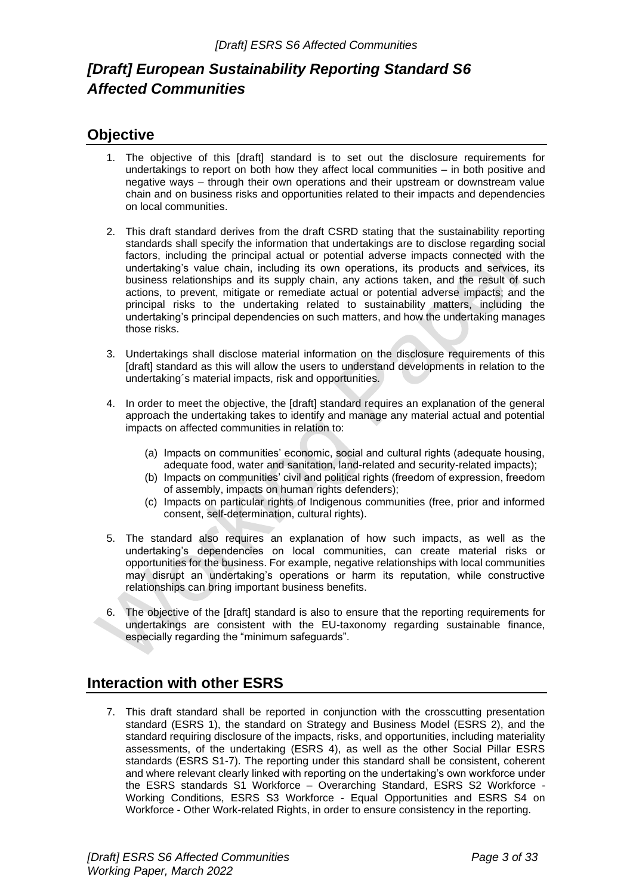# *[Draft] European Sustainability Reporting Standard S6 Affected Communities*

# <span id="page-2-0"></span>**Objective**

- 1. The objective of this [draft] standard is to set out the disclosure requirements for undertakings to report on both how they affect local communities – in both positive and negative ways – through their own operations and their upstream or downstream value chain and on business risks and opportunities related to their impacts and dependencies on local communities.
- 2. This draft standard derives from the draft CSRD stating that the sustainability reporting standards shall specify the information that undertakings are to disclose regarding social factors, including the principal actual or potential adverse impacts connected with the undertaking's value chain, including its own operations, its products and services, its business relationships and its supply chain, any actions taken, and the result of such actions, to prevent, mitigate or remediate actual or potential adverse impacts; and the principal risks to the undertaking related to sustainability matters, including the undertaking's principal dependencies on such matters, and how the undertaking manages those risks.
- 3. Undertakings shall disclose material information on the disclosure requirements of this [draft] standard as this will allow the users to understand developments in relation to the undertaking´s material impacts, risk and opportunities.
- 4. In order to meet the objective, the [draft] standard requires an explanation of the general approach the undertaking takes to identify and manage any material actual and potential impacts on affected communities in relation to:
	- (a) Impacts on communities' economic, social and cultural rights (adequate housing, adequate food, water and sanitation, land-related and security-related impacts);
	- (b) Impacts on communities' civil and political rights (freedom of expression, freedom of assembly, impacts on human rights defenders);
	- (c) Impacts on particular rights of Indigenous communities (free, prior and informed consent, self-determination, cultural rights).
- 5. The standard also requires an explanation of how such impacts, as well as the undertaking's dependencies on local communities, can create material risks or opportunities for the business. For example, negative relationships with local communities may disrupt an undertaking's operations or harm its reputation, while constructive relationships can bring important business benefits.
- 6. The objective of the [draft] standard is also to ensure that the reporting requirements for undertakings are consistent with the EU-taxonomy regarding sustainable finance, especially regarding the "minimum safeguards".

# <span id="page-2-1"></span>**Interaction with other ESRS**

7. This draft standard shall be reported in conjunction with the crosscutting presentation standard (ESRS 1), the standard on Strategy and Business Model (ESRS 2), and the standard requiring disclosure of the impacts, risks, and opportunities, including materiality assessments, of the undertaking (ESRS 4), as well as the other Social Pillar ESRS standards (ESRS S1-7). The reporting under this standard shall be consistent, coherent and where relevant clearly linked with reporting on the undertaking's own workforce under the ESRS standards S1 Workforce – Overarching Standard, ESRS S2 Workforce - Working Conditions, ESRS S3 Workforce - Equal Opportunities and ESRS S4 on Workforce - Other Work-related Rights, in order to ensure consistency in the reporting.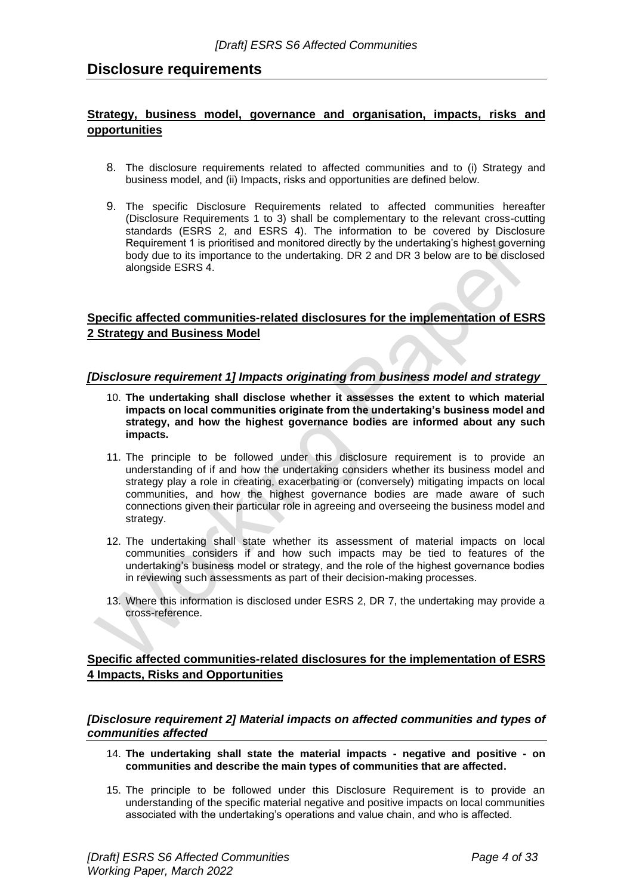# <span id="page-3-0"></span>**Disclosure requirements**

# <span id="page-3-1"></span>**Strategy, business model, governance and organisation, impacts, risks and opportunities**

- 8. The disclosure requirements related to affected communities and to (i) Strategy and business model, and (ii) Impacts, risks and opportunities are defined below.
- 9. The specific Disclosure Requirements related to affected communities hereafter (Disclosure Requirements 1 to 3) shall be complementary to the relevant cross-cutting standards (ESRS 2, and ESRS 4). The information to be covered by Disclosure Requirement 1 is prioritised and monitored directly by the undertaking's highest governing body due to its importance to the undertaking. DR 2 and DR 3 below are to be disclosed alongside ESRS 4.

# <span id="page-3-2"></span>**Specific affected communities-related disclosures for the implementation of ESRS 2 Strategy and Business Model**

#### <span id="page-3-3"></span>*[Disclosure requirement 1] Impacts originating from business model and strategy*

- 10. **The undertaking shall disclose whether it assesses the extent to which material impacts on local communities originate from the undertaking's business model and strategy, and how the highest governance bodies are informed about any such impacts.**
- 11. The principle to be followed under this disclosure requirement is to provide an understanding of if and how the undertaking considers whether its business model and strategy play a role in creating, exacerbating or (conversely) mitigating impacts on local communities, and how the highest governance bodies are made aware of such connections given their particular role in agreeing and overseeing the business model and strategy.
- 12. The undertaking shall state whether its assessment of material impacts on local communities considers if and how such impacts may be tied to features of the undertaking's business model or strategy, and the role of the highest governance bodies in reviewing such assessments as part of their decision-making processes.
- 13. Where this information is disclosed under ESRS 2, DR 7, the undertaking may provide a cross-reference.

# <span id="page-3-4"></span>**Specific affected communities-related disclosures for the implementation of ESRS 4 Impacts, Risks and Opportunities**

#### <span id="page-3-5"></span>*[Disclosure requirement 2] Material impacts on affected communities and types of communities affected*

- 14. **The undertaking shall state the material impacts - negative and positive - on communities and describe the main types of communities that are affected.**
- 15. The principle to be followed under this Disclosure Requirement is to provide an understanding of the specific material negative and positive impacts on local communities associated with the undertaking's operations and value chain, and who is affected.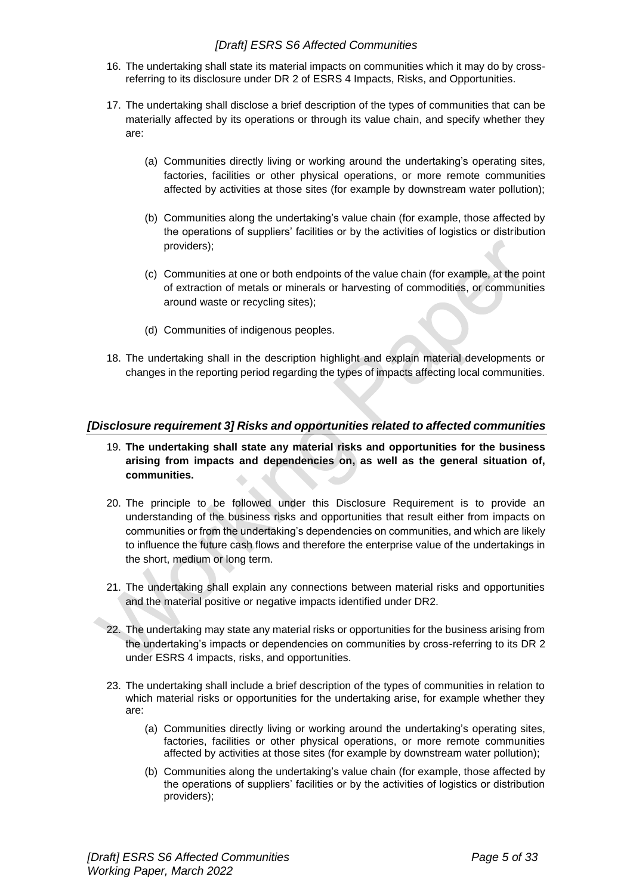- 16. The undertaking shall state its material impacts on communities which it may do by crossreferring to its disclosure under DR 2 of ESRS 4 Impacts, Risks, and Opportunities.
- 17. The undertaking shall disclose a brief description of the types of communities that can be materially affected by its operations or through its value chain, and specify whether they are:
	- (a) Communities directly living or working around the undertaking's operating sites, factories, facilities or other physical operations, or more remote communities affected by activities at those sites (for example by downstream water pollution);
	- (b) Communities along the undertaking's value chain (for example, those affected by the operations of suppliers' facilities or by the activities of logistics or distribution providers);
	- (c) Communities at one or both endpoints of the value chain (for example, at the point of extraction of metals or minerals or harvesting of commodities, or communities around waste or recycling sites);
	- (d) Communities of indigenous peoples.
- 18. The undertaking shall in the description highlight and explain material developments or changes in the reporting period regarding the types of impacts affecting local communities.

# <span id="page-4-0"></span>*[Disclosure requirement 3] Risks and opportunities related to affected communities*

- 19. **The undertaking shall state any material risks and opportunities for the business arising from impacts and dependencies on, as well as the general situation of, communities.**
- 20. The principle to be followed under this Disclosure Requirement is to provide an understanding of the business risks and opportunities that result either from impacts on communities or from the undertaking's dependencies on communities, and which are likely to influence the future cash flows and therefore the enterprise value of the undertakings in the short, medium or long term.
- 21. The undertaking shall explain any connections between material risks and opportunities and the material positive or negative impacts identified under DR2.
- 22. The undertaking may state any material risks or opportunities for the business arising from the undertaking's impacts or dependencies on communities by cross-referring to its DR 2 under ESRS 4 impacts, risks, and opportunities.
- 23. The undertaking shall include a brief description of the types of communities in relation to which material risks or opportunities for the undertaking arise, for example whether they are:
	- (a) Communities directly living or working around the undertaking's operating sites, factories, facilities or other physical operations, or more remote communities affected by activities at those sites (for example by downstream water pollution);
	- (b) Communities along the undertaking's value chain (for example, those affected by the operations of suppliers' facilities or by the activities of logistics or distribution providers);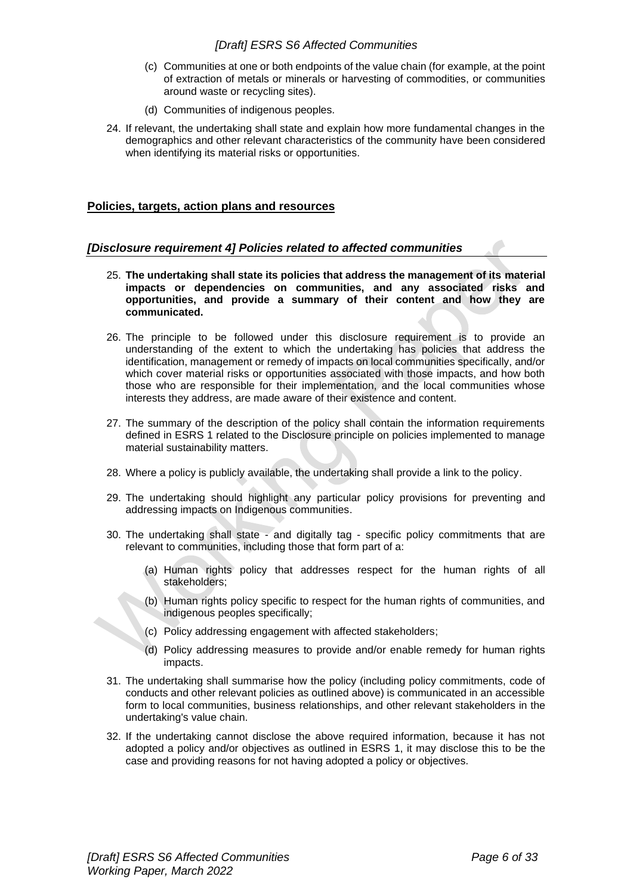- (c) Communities at one or both endpoints of the value chain (for example, at the point of extraction of metals or minerals or harvesting of commodities, or communities around waste or recycling sites).
- (d) Communities of indigenous peoples.
- 24. If relevant, the undertaking shall state and explain how more fundamental changes in the demographics and other relevant characteristics of the community have been considered when identifying its material risks or opportunities.

#### <span id="page-5-0"></span>**Policies, targets, action plans and resources**

### <span id="page-5-1"></span>*[Disclosure requirement 4] Policies related to affected communities*

- 25. **The undertaking shall state its policies that address the management of its material impacts or dependencies on communities, and any associated risks and opportunities, and provide a summary of their content and how they are communicated.**
- 26. The principle to be followed under this disclosure requirement is to provide an understanding of the extent to which the undertaking has policies that address the identification, management or remedy of impacts on local communities specifically, and/or which cover material risks or opportunities associated with those impacts, and how both those who are responsible for their implementation, and the local communities whose interests they address, are made aware of their existence and content.
- 27. The summary of the description of the policy shall contain the information requirements defined in ESRS 1 related to the Disclosure principle on policies implemented to manage material sustainability matters.
- 28. Where a policy is publicly available, the undertaking shall provide a link to the policy.
- 29. The undertaking should highlight any particular policy provisions for preventing and addressing impacts on Indigenous communities.
- 30. The undertaking shall state and digitally tag specific policy commitments that are relevant to communities, including those that form part of a:
	- (a) Human rights policy that addresses respect for the human rights of all stakeholders;
	- (b) Human rights policy specific to respect for the human rights of communities, and indigenous peoples specifically;
	- (c) Policy addressing engagement with affected stakeholders;
	- (d) Policy addressing measures to provide and/or enable remedy for human rights impacts.
- 31. The undertaking shall summarise how the policy (including policy commitments, code of conducts and other relevant policies as outlined above) is communicated in an accessible form to local communities, business relationships, and other relevant stakeholders in the undertaking's value chain.
- 32. If the undertaking cannot disclose the above required information, because it has not adopted a policy and/or objectives as outlined in ESRS 1, it may disclose this to be the case and providing reasons for not having adopted a policy or objectives.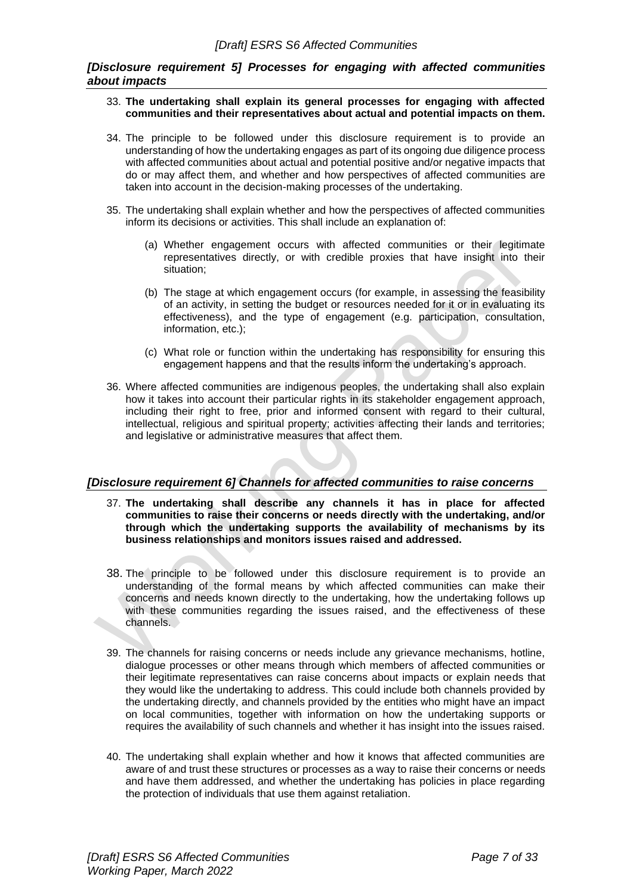#### <span id="page-6-0"></span>*[Disclosure requirement 5] Processes for engaging with affected communities about impacts*

- 33. **The undertaking shall explain its general processes for engaging with affected communities and their representatives about actual and potential impacts on them.**
- 34. The principle to be followed under this disclosure requirement is to provide an understanding of how the undertaking engages as part of its ongoing due diligence process with affected communities about actual and potential positive and/or negative impacts that do or may affect them, and whether and how perspectives of affected communities are taken into account in the decision-making processes of the undertaking.
- 35. The undertaking shall explain whether and how the perspectives of affected communities inform its decisions or activities. This shall include an explanation of:
	- (a) Whether engagement occurs with affected communities or their legitimate representatives directly, or with credible proxies that have insight into their situation;
	- (b) The stage at which engagement occurs (for example, in assessing the feasibility of an activity, in setting the budget or resources needed for it or in evaluating its effectiveness), and the type of engagement (e.g. participation, consultation, information, etc.);
	- (c) What role or function within the undertaking has responsibility for ensuring this engagement happens and that the results inform the undertaking's approach.
- 36. Where affected communities are indigenous peoples, the undertaking shall also explain how it takes into account their particular rights in its stakeholder engagement approach, including their right to free, prior and informed consent with regard to their cultural, intellectual, religious and spiritual property; activities affecting their lands and territories; and legislative or administrative measures that affect them.

#### <span id="page-6-1"></span>*[Disclosure requirement 6] Channels for affected communities to raise concerns*

- 37. **The undertaking shall describe any channels it has in place for affected communities to raise their concerns or needs directly with the undertaking, and/or through which the undertaking supports the availability of mechanisms by its business relationships and monitors issues raised and addressed.**
- 38. The principle to be followed under this disclosure requirement is to provide an understanding of the formal means by which affected communities can make their concerns and needs known directly to the undertaking, how the undertaking follows up with these communities regarding the issues raised, and the effectiveness of these channels.
- 39. The channels for raising concerns or needs include any grievance mechanisms, hotline, dialogue processes or other means through which members of affected communities or their legitimate representatives can raise concerns about impacts or explain needs that they would like the undertaking to address. This could include both channels provided by the undertaking directly, and channels provided by the entities who might have an impact on local communities, together with information on how the undertaking supports or requires the availability of such channels and whether it has insight into the issues raised.
- 40. The undertaking shall explain whether and how it knows that affected communities are aware of and trust these structures or processes as a way to raise their concerns or needs and have them addressed, and whether the undertaking has policies in place regarding the protection of individuals that use them against retaliation.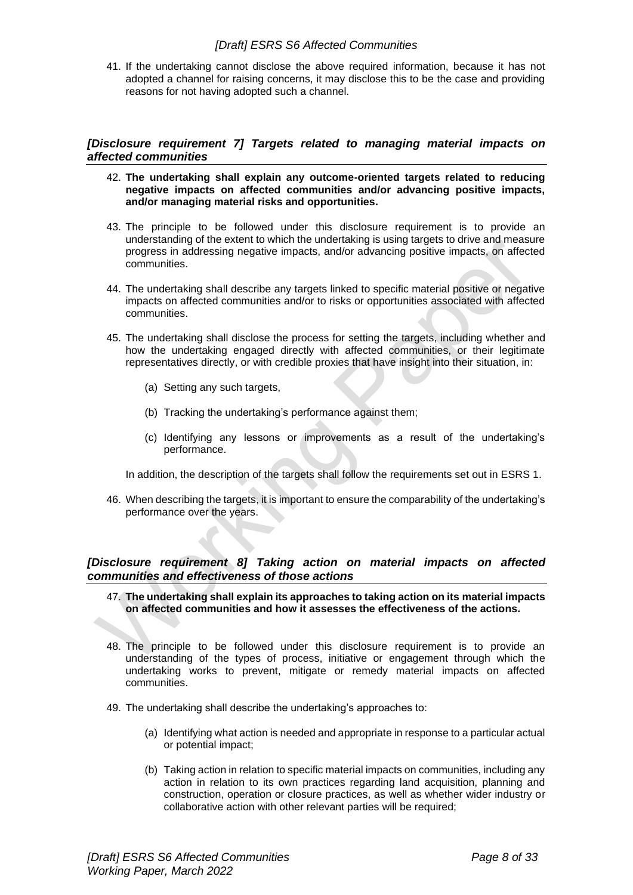41. If the undertaking cannot disclose the above required information, because it has not adopted a channel for raising concerns, it may disclose this to be the case and providing reasons for not having adopted such a channel.

#### <span id="page-7-0"></span>*[Disclosure requirement 7] Targets related to managing material impacts on affected communities*

- 42. **The undertaking shall explain any outcome-oriented targets related to reducing negative impacts on affected communities and/or advancing positive impacts, and/or managing material risks and opportunities.**
- 43. The principle to be followed under this disclosure requirement is to provide an understanding of the extent to which the undertaking is using targets to drive and measure progress in addressing negative impacts, and/or advancing positive impacts, on affected communities.
- 44. The undertaking shall describe any targets linked to specific material positive or negative impacts on affected communities and/or to risks or opportunities associated with affected communities.
- 45. The undertaking shall disclose the process for setting the targets, including whether and how the undertaking engaged directly with affected communities, or their legitimate representatives directly, or with credible proxies that have insight into their situation, in:
	- (a) Setting any such targets,
	- (b) Tracking the undertaking's performance against them;
	- (c) Identifying any lessons or improvements as a result of the undertaking's performance.

In addition, the description of the targets shall follow the requirements set out in ESRS 1.

46. When describing the targets, it is important to ensure the comparability of the undertaking's performance over the years.

#### <span id="page-7-1"></span>*[Disclosure requirement 8] Taking action on material impacts on affected communities and effectiveness of those actions*

- 47. **The undertaking shall explain its approaches to taking action on its material impacts on affected communities and how it assesses the effectiveness of the actions.**
- 48. The principle to be followed under this disclosure requirement is to provide an understanding of the types of process, initiative or engagement through which the undertaking works to prevent, mitigate or remedy material impacts on affected communities.
- 49. The undertaking shall describe the undertaking's approaches to:
	- (a) Identifying what action is needed and appropriate in response to a particular actual or potential impact;
	- (b) Taking action in relation to specific material impacts on communities, including any action in relation to its own practices regarding land acquisition, planning and construction, operation or closure practices, as well as whether wider industry or collaborative action with other relevant parties will be required;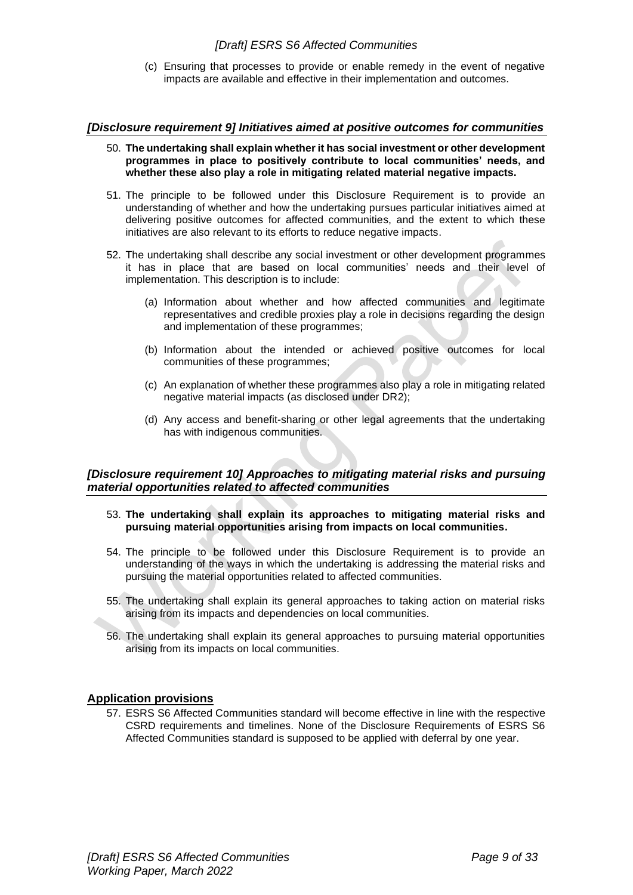(c) Ensuring that processes to provide or enable remedy in the event of negative impacts are available and effective in their implementation and outcomes.

#### <span id="page-8-0"></span>*[Disclosure requirement 9] Initiatives aimed at positive outcomes for communities*

- 50. **The undertaking shall explain whether it has social investment or other development programmes in place to positively contribute to local communities' needs, and whether these also play a role in mitigating related material negative impacts.**
- 51. The principle to be followed under this Disclosure Requirement is to provide an understanding of whether and how the undertaking pursues particular initiatives aimed at delivering positive outcomes for affected communities, and the extent to which these initiatives are also relevant to its efforts to reduce negative impacts.
- 52. The undertaking shall describe any social investment or other development programmes it has in place that are based on local communities' needs and their level of implementation. This description is to include:
	- (a) Information about whether and how affected communities and legitimate representatives and credible proxies play a role in decisions regarding the design and implementation of these programmes;
	- (b) Information about the intended or achieved positive outcomes for local communities of these programmes;
	- (c) An explanation of whether these programmes also play a role in mitigating related negative material impacts (as disclosed under DR2);
	- (d) Any access and benefit-sharing or other legal agreements that the undertaking has with indigenous communities.

### <span id="page-8-1"></span>*[Disclosure requirement 10] Approaches to mitigating material risks and pursuing material opportunities related to affected communities*

- 53. **The undertaking shall explain its approaches to mitigating material risks and pursuing material opportunities arising from impacts on local communities.**
- 54. The principle to be followed under this Disclosure Requirement is to provide an understanding of the ways in which the undertaking is addressing the material risks and pursuing the material opportunities related to affected communities.
- 55. The undertaking shall explain its general approaches to taking action on material risks arising from its impacts and dependencies on local communities.
- 56. The undertaking shall explain its general approaches to pursuing material opportunities arising from its impacts on local communities.

#### **Application provisions**

57. ESRS S6 Affected Communities standard will become effective in line with the respective CSRD requirements and timelines. None of the Disclosure Requirements of ESRS S6 Affected Communities standard is supposed to be applied with deferral by one year.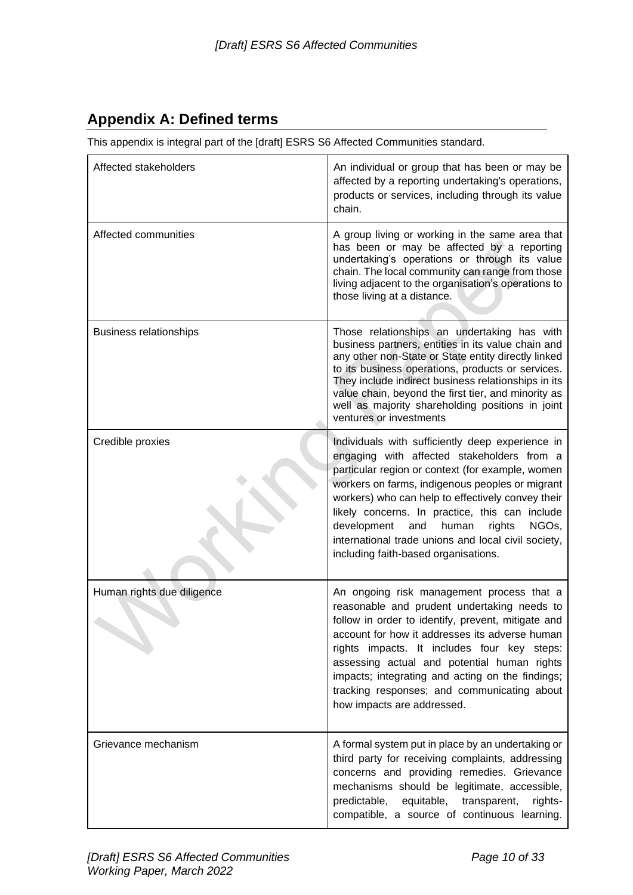# <span id="page-9-0"></span>**Appendix A: Defined terms**

This appendix is integral part of the [draft] ESRS S6 Affected Communities standard.

| Affected stakeholders         | An individual or group that has been or may be<br>affected by a reporting undertaking's operations,<br>products or services, including through its value<br>chain.                                                                                                                                                                                                                                                                                                         |
|-------------------------------|----------------------------------------------------------------------------------------------------------------------------------------------------------------------------------------------------------------------------------------------------------------------------------------------------------------------------------------------------------------------------------------------------------------------------------------------------------------------------|
| Affected communities          | A group living or working in the same area that<br>has been or may be affected by a reporting<br>undertaking's operations or through its value<br>chain. The local community can range from those<br>living adjacent to the organisation's operations to<br>those living at a distance.                                                                                                                                                                                    |
| <b>Business relationships</b> | Those relationships an undertaking has with<br>business partners, entities in its value chain and<br>any other non-State or State entity directly linked<br>to its business operations, products or services.<br>They include indirect business relationships in its<br>value chain, beyond the first tier, and minority as<br>well as majority shareholding positions in joint<br>ventures or investments                                                                 |
| Credible proxies              | Individuals with sufficiently deep experience in<br>engaging with affected stakeholders from a<br>particular region or context (for example, women<br>workers on farms, indigenous peoples or migrant<br>workers) who can help to effectively convey their<br>likely concerns. In practice, this can include<br>development<br>NGO <sub>s</sub> ,<br>and<br>human<br>rights<br>international trade unions and local civil society,<br>including faith-based organisations. |
| Human rights due diligence    | An ongoing risk management process that a<br>reasonable and prudent undertaking needs to<br>follow in order to identify, prevent, mitigate and<br>account for how it addresses its adverse human<br>rights impacts. It includes four key steps:<br>assessing actual and potential human rights<br>impacts; integrating and acting on the findings;<br>tracking responses; and communicating about<br>how impacts are addressed.                                            |
| Grievance mechanism           | A formal system put in place by an undertaking or<br>third party for receiving complaints, addressing<br>concerns and providing remedies. Grievance<br>mechanisms should be legitimate, accessible,<br>predictable,<br>equitable,<br>transparent,<br>rights-<br>compatible, a source of continuous learning.                                                                                                                                                               |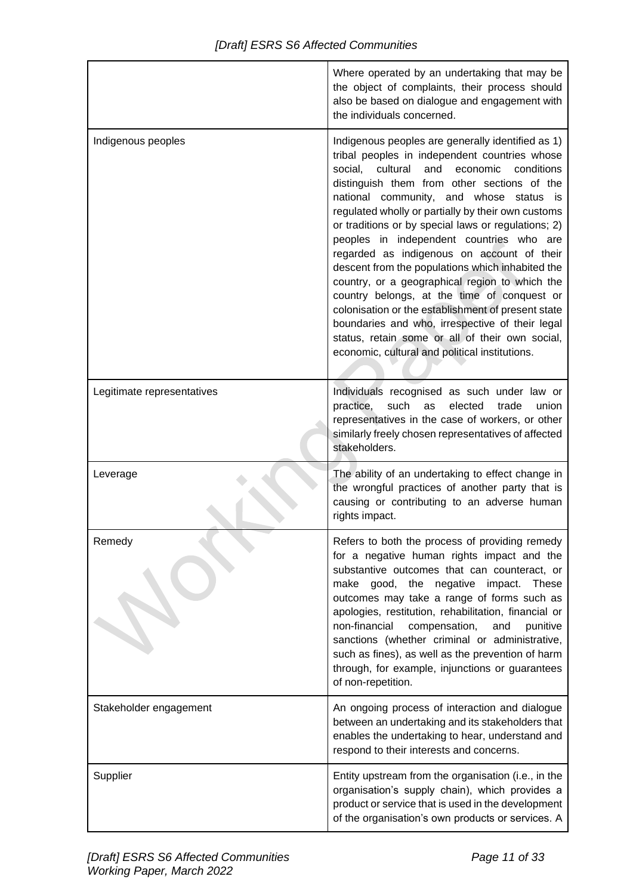|                            | Where operated by an undertaking that may be<br>the object of complaints, their process should<br>also be based on dialogue and engagement with<br>the individuals concerned.                                                                                                                                                                                                                                                                                                                                                                                                                                                                                                                                                                                                                                                  |
|----------------------------|--------------------------------------------------------------------------------------------------------------------------------------------------------------------------------------------------------------------------------------------------------------------------------------------------------------------------------------------------------------------------------------------------------------------------------------------------------------------------------------------------------------------------------------------------------------------------------------------------------------------------------------------------------------------------------------------------------------------------------------------------------------------------------------------------------------------------------|
| Indigenous peoples         | Indigenous peoples are generally identified as 1)<br>tribal peoples in independent countries whose<br>cultural<br>economic<br>social,<br>and<br>conditions<br>distinguish them from other sections of the<br>national community, and whose status is<br>regulated wholly or partially by their own customs<br>or traditions or by special laws or regulations; 2)<br>peoples in independent countries who are<br>regarded as indigenous on account of their<br>descent from the populations which inhabited the<br>country, or a geographical region to which the<br>country belongs, at the time of conquest or<br>colonisation or the establishment of present state<br>boundaries and who, irrespective of their legal<br>status, retain some or all of their own social,<br>economic, cultural and political institutions. |
| Legitimate representatives | Individuals recognised as such under law or<br>such<br>practice,<br>as<br>elected<br>trade<br>union<br>representatives in the case of workers, or other<br>similarly freely chosen representatives of affected<br>stakeholders.                                                                                                                                                                                                                                                                                                                                                                                                                                                                                                                                                                                                |
| Leverage                   | The ability of an undertaking to effect change in<br>the wrongful practices of another party that is<br>causing or contributing to an adverse human<br>rights impact.                                                                                                                                                                                                                                                                                                                                                                                                                                                                                                                                                                                                                                                          |
| Remedy                     | Refers to both the process of providing remedy<br>for a negative human rights impact and the<br>substantive outcomes that can counteract, or<br>good, the negative impact.<br>make<br>These<br>outcomes may take a range of forms such as<br>apologies, restitution, rehabilitation, financial or<br>non-financial<br>compensation,<br>and<br>punitive<br>sanctions (whether criminal or administrative,<br>such as fines), as well as the prevention of harm<br>through, for example, injunctions or guarantees<br>of non-repetition.                                                                                                                                                                                                                                                                                         |
| Stakeholder engagement     | An ongoing process of interaction and dialogue<br>between an undertaking and its stakeholders that<br>enables the undertaking to hear, understand and<br>respond to their interests and concerns.                                                                                                                                                                                                                                                                                                                                                                                                                                                                                                                                                                                                                              |
| Supplier                   | Entity upstream from the organisation (i.e., in the<br>organisation's supply chain), which provides a<br>product or service that is used in the development<br>of the organisation's own products or services. A                                                                                                                                                                                                                                                                                                                                                                                                                                                                                                                                                                                                               |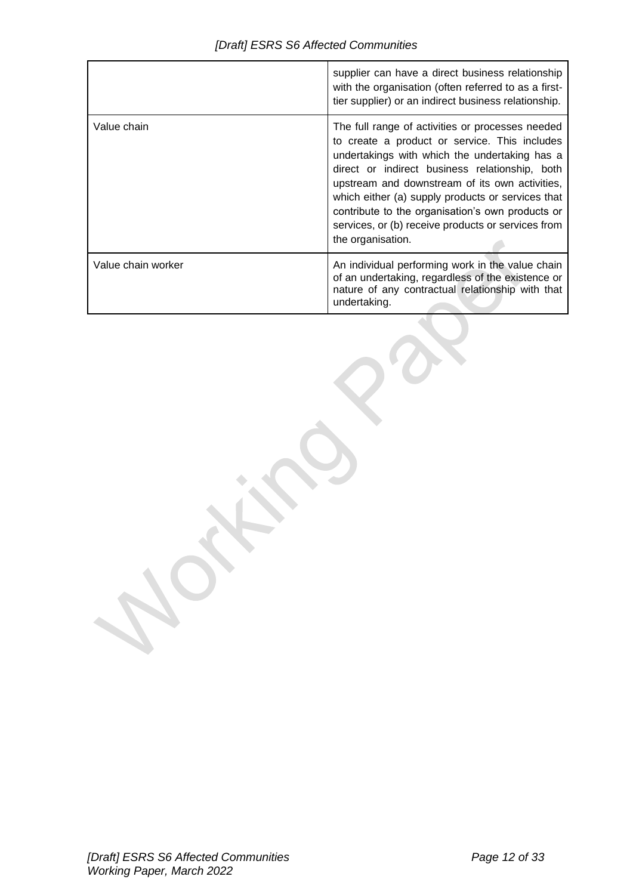|                    | supplier can have a direct business relationship<br>with the organisation (often referred to as a first-<br>tier supplier) or an indirect business relationship.                                                                                                                                                                                                                                                                           |
|--------------------|--------------------------------------------------------------------------------------------------------------------------------------------------------------------------------------------------------------------------------------------------------------------------------------------------------------------------------------------------------------------------------------------------------------------------------------------|
| Value chain        | The full range of activities or processes needed<br>to create a product or service. This includes<br>undertakings with which the undertaking has a<br>direct or indirect business relationship, both<br>upstream and downstream of its own activities,<br>which either (a) supply products or services that<br>contribute to the organisation's own products or<br>services, or (b) receive products or services from<br>the organisation. |
| Value chain worker | An individual performing work in the value chain<br>of an undertaking, regardless of the existence or<br>nature of any contractual relationship with that<br>undertaking.                                                                                                                                                                                                                                                                  |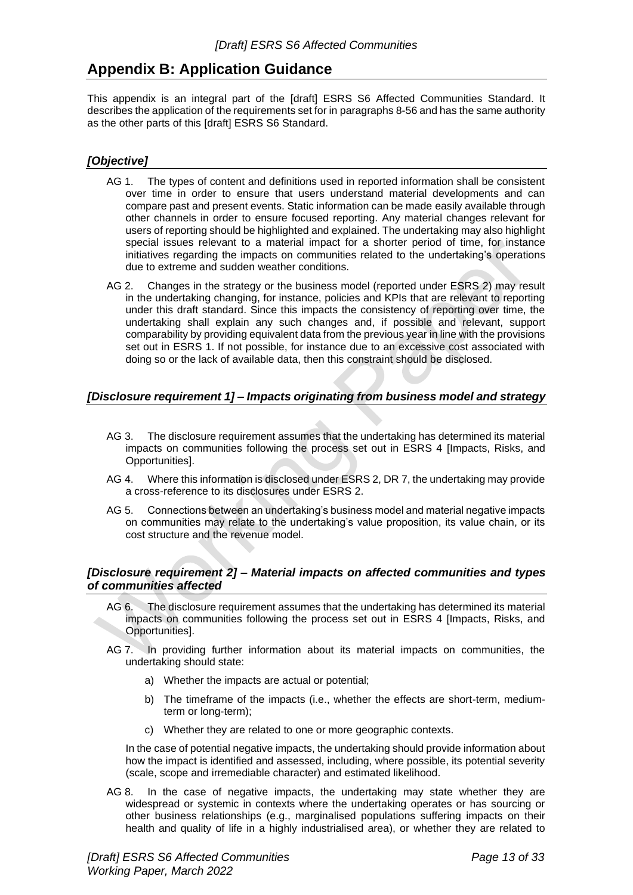# <span id="page-12-0"></span>**Appendix B: Application Guidance**

This appendix is an integral part of the [draft] ESRS S6 Affected Communities Standard. It describes the application of the requirements set for in paragraphs 8-56 and has the same authority as the other parts of this [draft] ESRS S6 Standard.

# <span id="page-12-1"></span>*[Objective]*

- AG 1. The types of content and definitions used in reported information shall be consistent over time in order to ensure that users understand material developments and can compare past and present events. Static information can be made easily available through other channels in order to ensure focused reporting. Any material changes relevant for users of reporting should be highlighted and explained. The undertaking may also highlight special issues relevant to a material impact for a shorter period of time, for instance initiatives regarding the impacts on communities related to the undertaking's operations due to extreme and sudden weather conditions.
- AG 2. Changes in the strategy or the business model (reported under ESRS 2) may result in the undertaking changing, for instance, policies and KPIs that are relevant to reporting under this draft standard. Since this impacts the consistency of reporting over time, the undertaking shall explain any such changes and, if possible and relevant, support comparability by providing equivalent data from the previous year in line with the provisions set out in ESRS 1. If not possible, for instance due to an excessive cost associated with doing so or the lack of available data, then this constraint should be disclosed.

# <span id="page-12-2"></span>*[Disclosure requirement 1] – Impacts originating from business model and strategy*

- AG 3. The disclosure requirement assumes that the undertaking has determined its material impacts on communities following the process set out in ESRS 4 [Impacts, Risks, and Opportunities].
- AG 4. Where this information is disclosed under ESRS 2, DR 7, the undertaking may provide a cross-reference to its disclosures under ESRS 2.
- AG 5. Connections between an undertaking's business model and material negative impacts on communities may relate to the undertaking's value proposition, its value chain, or its cost structure and the revenue model.

### <span id="page-12-3"></span>*[Disclosure requirement 2] – Material impacts on affected communities and types of communities affected*

- AG 6. The disclosure requirement assumes that the undertaking has determined its material impacts on communities following the process set out in ESRS 4 [Impacts, Risks, and Opportunities].
- AG 7. In providing further information about its material impacts on communities, the undertaking should state:
	- a) Whether the impacts are actual or potential;
	- b) The timeframe of the impacts (i.e., whether the effects are short-term, mediumterm or long-term);
	- c) Whether they are related to one or more geographic contexts.

In the case of potential negative impacts, the undertaking should provide information about how the impact is identified and assessed, including, where possible, its potential severity (scale, scope and irremediable character) and estimated likelihood.

AG 8. In the case of negative impacts, the undertaking may state whether they are widespread or systemic in contexts where the undertaking operates or has sourcing or other business relationships (e.g., marginalised populations suffering impacts on their health and quality of life in a highly industrialised area), or whether they are related to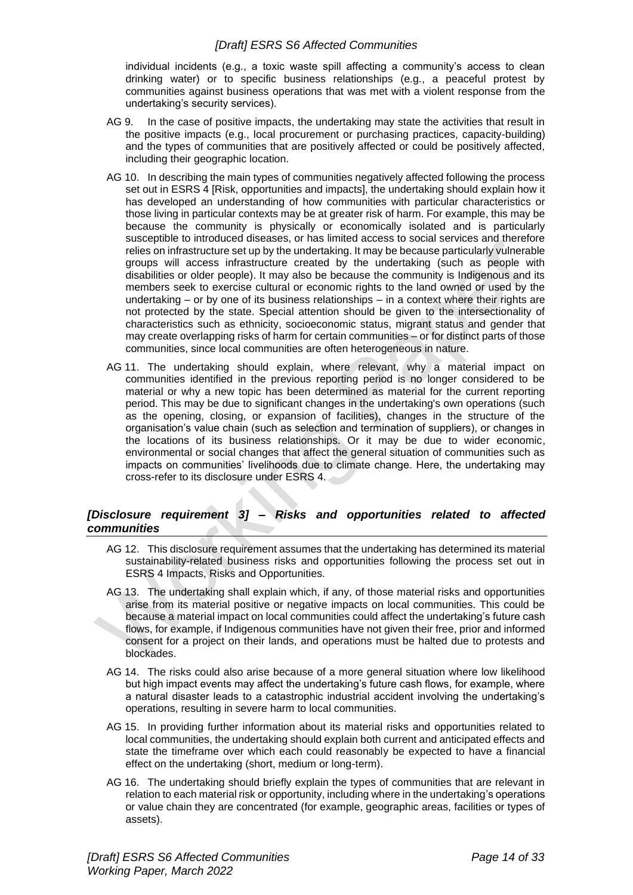individual incidents (e.g., a toxic waste spill affecting a community's access to clean drinking water) or to specific business relationships (e.g., a peaceful protest by communities against business operations that was met with a violent response from the undertaking's security services).

- AG 9. In the case of positive impacts, the undertaking may state the activities that result in the positive impacts (e.g., local procurement or purchasing practices, capacity-building) and the types of communities that are positively affected or could be positively affected, including their geographic location.
- AG 10. In describing the main types of communities negatively affected following the process set out in ESRS 4 [Risk, opportunities and impacts], the undertaking should explain how it has developed an understanding of how communities with particular characteristics or those living in particular contexts may be at greater risk of harm. For example, this may be because the community is physically or economically isolated and is particularly susceptible to introduced diseases, or has limited access to social services and therefore relies on infrastructure set up by the undertaking. It may be because particularly vulnerable groups will access infrastructure created by the undertaking (such as people with disabilities or older people). It may also be because the community is Indigenous and its members seek to exercise cultural or economic rights to the land owned or used by the undertaking – or by one of its business relationships – in a context where their rights are not protected by the state. Special attention should be given to the intersectionality of characteristics such as ethnicity, socioeconomic status, migrant status and gender that may create overlapping risks of harm for certain communities – or for distinct parts of those communities, since local communities are often heterogeneous in nature.
- AG 11. The undertaking should explain, where relevant, why a material impact on communities identified in the previous reporting period is no longer considered to be material or why a new topic has been determined as material for the current reporting period. This may be due to significant changes in the undertaking's own operations (such as the opening, closing, or expansion of facilities), changes in the structure of the organisation's value chain (such as selection and termination of suppliers), or changes in the locations of its business relationships. Or it may be due to wider economic, environmental or social changes that affect the general situation of communities such as impacts on communities' livelihoods due to climate change. Here, the undertaking may cross-refer to its disclosure under ESRS 4.

# <span id="page-13-0"></span>*[Disclosure requirement 3] – Risks and opportunities related to affected communities*

- AG 12. This disclosure requirement assumes that the undertaking has determined its material sustainability-related business risks and opportunities following the process set out in ESRS 4 Impacts, Risks and Opportunities.
- AG 13. The undertaking shall explain which, if any, of those material risks and opportunities arise from its material positive or negative impacts on local communities. This could be because a material impact on local communities could affect the undertaking's future cash flows, for example, if Indigenous communities have not given their free, prior and informed consent for a project on their lands, and operations must be halted due to protests and blockades.
- AG 14. The risks could also arise because of a more general situation where low likelihood but high impact events may affect the undertaking's future cash flows, for example, where a natural disaster leads to a catastrophic industrial accident involving the undertaking's operations, resulting in severe harm to local communities.
- AG 15. In providing further information about its material risks and opportunities related to local communities, the undertaking should explain both current and anticipated effects and state the timeframe over which each could reasonably be expected to have a financial effect on the undertaking (short, medium or long-term).
- AG 16. The undertaking should briefly explain the types of communities that are relevant in relation to each material risk or opportunity, including where in the undertaking's operations or value chain they are concentrated (for example, geographic areas, facilities or types of assets).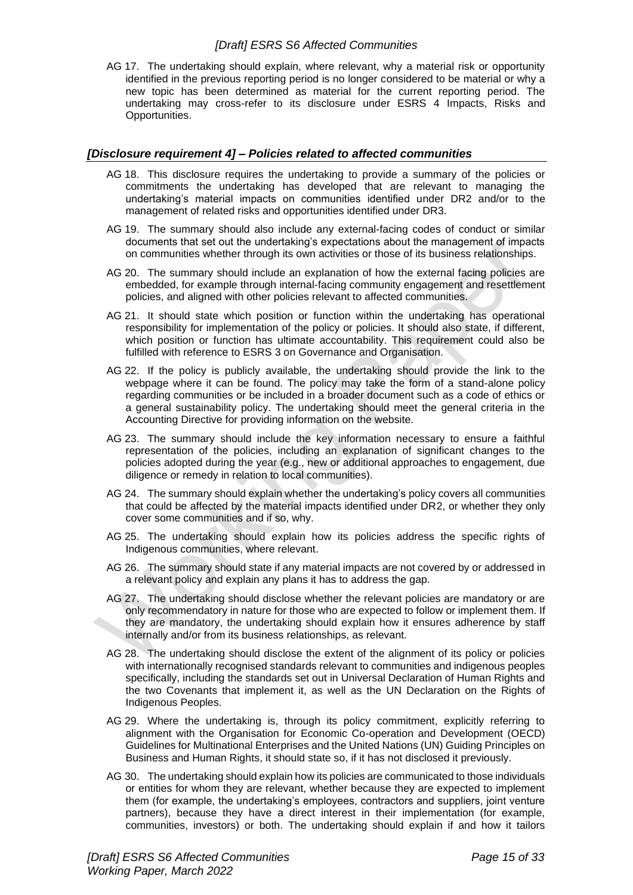AG 17. The undertaking should explain, where relevant, why a material risk or opportunity identified in the previous reporting period is no longer considered to be material or why a new topic has been determined as material for the current reporting period. The undertaking may cross-refer to its disclosure under ESRS 4 Impacts, Risks and Opportunities.

## <span id="page-14-0"></span>*[Disclosure requirement 4] – Policies related to affected communities*

- AG 18. This disclosure requires the undertaking to provide a summary of the policies or commitments the undertaking has developed that are relevant to managing the undertaking's material impacts on communities identified under DR2 and/or to the management of related risks and opportunities identified under DR3.
- AG 19. The summary should also include any external-facing codes of conduct or similar documents that set out the undertaking's expectations about the management of impacts on communities whether through its own activities or those of its business relationships.
- AG 20. The summary should include an explanation of how the external facing policies are embedded, for example through internal-facing community engagement and resettlement policies, and aligned with other policies relevant to affected communities.
- AG 21. It should state which position or function within the undertaking has operational responsibility for implementation of the policy or policies. It should also state, if different, which position or function has ultimate accountability. This requirement could also be fulfilled with reference to ESRS 3 on Governance and Organisation.
- AG 22. If the policy is publicly available, the undertaking should provide the link to the webpage where it can be found. The policy may take the form of a stand-alone policy regarding communities or be included in a broader document such as a code of ethics or a general sustainability policy. The undertaking should meet the general criteria in the Accounting Directive for providing information on the website.
- AG 23. The summary should include the key information necessary to ensure a faithful representation of the policies, including an explanation of significant changes to the policies adopted during the year (e.g., new or additional approaches to engagement, due diligence or remedy in relation to local communities).
- AG 24. The summary should explain whether the undertaking's policy covers all communities that could be affected by the material impacts identified under DR2, or whether they only cover some communities and if so, why.
- AG 25. The undertaking should explain how its policies address the specific rights of Indigenous communities, where relevant.
- AG 26. The summary should state if any material impacts are not covered by or addressed in a relevant policy and explain any plans it has to address the gap.
- AG 27. The undertaking should disclose whether the relevant policies are mandatory or are only recommendatory in nature for those who are expected to follow or implement them. If they are mandatory, the undertaking should explain how it ensures adherence by staff internally and/or from its business relationships, as relevant.
- AG 28. The undertaking should disclose the extent of the alignment of its policy or policies with internationally recognised standards relevant to communities and indigenous peoples specifically, including the standards set out in Universal Declaration of Human Rights and the two Covenants that implement it, as well as the UN Declaration on the Rights of Indigenous Peoples.
- AG 29. Where the undertaking is, through its policy commitment, explicitly referring to alignment with the Organisation for Economic Co-operation and Development (OECD) Guidelines for Multinational Enterprises and the United Nations (UN) Guiding Principles on Business and Human Rights, it should state so, if it has not disclosed it previously.
- AG 30. The undertaking should explain how its policies are communicated to those individuals or entities for whom they are relevant, whether because they are expected to implement them (for example, the undertaking's employees, contractors and suppliers, joint venture partners), because they have a direct interest in their implementation (for example, communities, investors) or both. The undertaking should explain if and how it tailors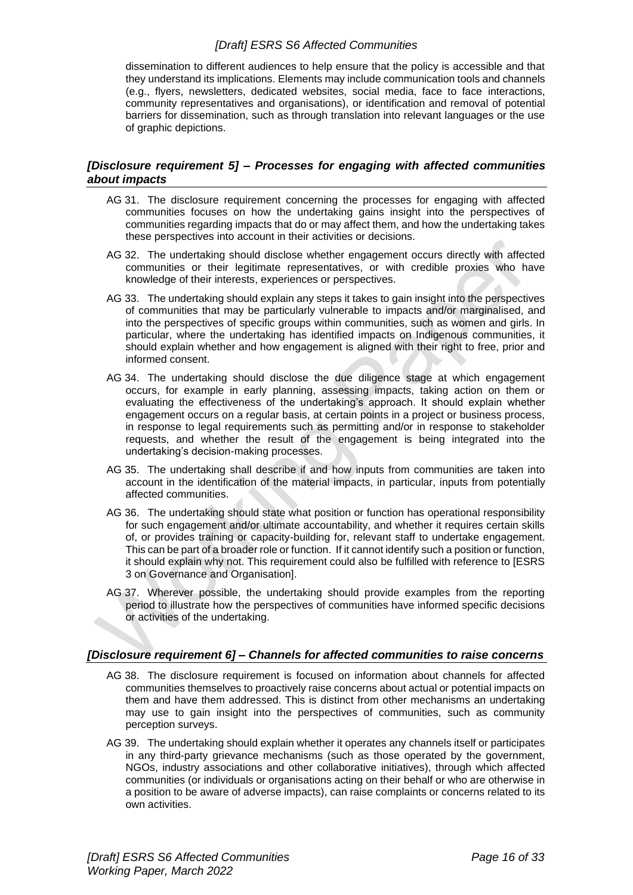dissemination to different audiences to help ensure that the policy is accessible and that they understand its implications. Elements may include communication tools and channels (e.g., flyers, newsletters, dedicated websites, social media, face to face interactions, community representatives and organisations), or identification and removal of potential barriers for dissemination, such as through translation into relevant languages or the use of graphic depictions.

## <span id="page-15-0"></span>*[Disclosure requirement 5] – Processes for engaging with affected communities about impacts*

- AG 31. The disclosure requirement concerning the processes for engaging with affected communities focuses on how the undertaking gains insight into the perspectives of communities regarding impacts that do or may affect them, and how the undertaking takes these perspectives into account in their activities or decisions.
- AG 32. The undertaking should disclose whether engagement occurs directly with affected communities or their legitimate representatives, or with credible proxies who have knowledge of their interests, experiences or perspectives.
- AG 33. The undertaking should explain any steps it takes to gain insight into the perspectives of communities that may be particularly vulnerable to impacts and/or marginalised, and into the perspectives of specific groups within communities, such as women and girls. In particular, where the undertaking has identified impacts on Indigenous communities, it should explain whether and how engagement is aligned with their right to free, prior and informed consent.
- AG 34. The undertaking should disclose the due diligence stage at which engagement occurs, for example in early planning, assessing impacts, taking action on them or evaluating the effectiveness of the undertaking's approach. It should explain whether engagement occurs on a regular basis, at certain points in a project or business process, in response to legal requirements such as permitting and/or in response to stakeholder requests, and whether the result of the engagement is being integrated into the undertaking's decision-making processes.
- AG 35. The undertaking shall describe if and how inputs from communities are taken into account in the identification of the material impacts, in particular, inputs from potentially affected communities.
- AG 36. The undertaking should state what position or function has operational responsibility for such engagement and/or ultimate accountability, and whether it requires certain skills of, or provides training or capacity-building for, relevant staff to undertake engagement. This can be part of a broader role or function. If it cannot identify such a position or function, it should explain why not. This requirement could also be fulfilled with reference to [ESRS 3 on Governance and Organisation].
- AG 37. Wherever possible, the undertaking should provide examples from the reporting period to illustrate how the perspectives of communities have informed specific decisions or activities of the undertaking.

# <span id="page-15-1"></span>*[Disclosure requirement 6] – Channels for affected communities to raise concerns*

- AG 38. The disclosure requirement is focused on information about channels for affected communities themselves to proactively raise concerns about actual or potential impacts on them and have them addressed. This is distinct from other mechanisms an undertaking may use to gain insight into the perspectives of communities, such as community perception surveys.
- AG 39. The undertaking should explain whether it operates any channels itself or participates in any third-party grievance mechanisms (such as those operated by the government, NGOs, industry associations and other collaborative initiatives), through which affected communities (or individuals or organisations acting on their behalf or who are otherwise in a position to be aware of adverse impacts), can raise complaints or concerns related to its own activities.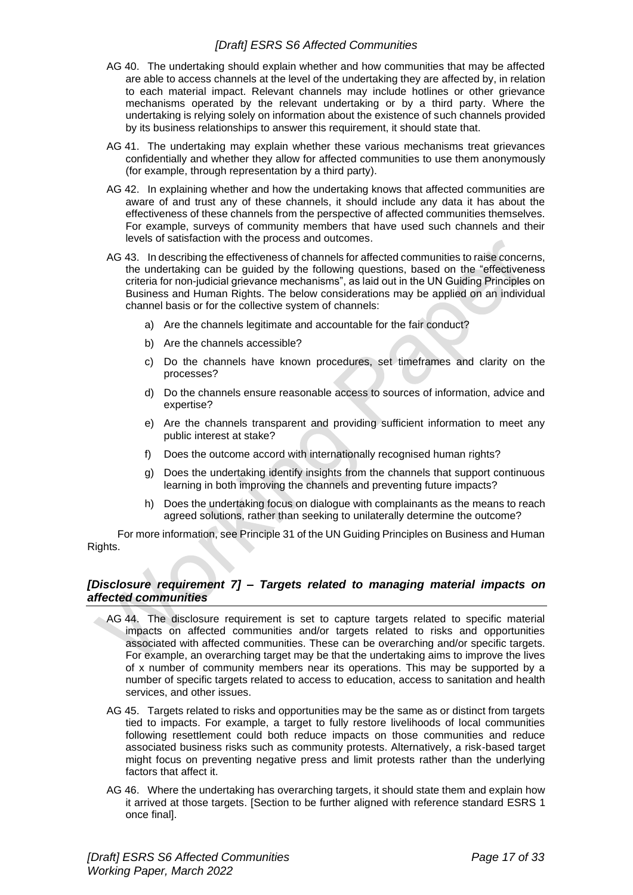- AG 40. The undertaking should explain whether and how communities that may be affected are able to access channels at the level of the undertaking they are affected by, in relation to each material impact. Relevant channels may include hotlines or other grievance mechanisms operated by the relevant undertaking or by a third party. Where the undertaking is relying solely on information about the existence of such channels provided by its business relationships to answer this requirement, it should state that.
- AG 41. The undertaking may explain whether these various mechanisms treat grievances confidentially and whether they allow for affected communities to use them anonymously (for example, through representation by a third party).
- AG 42. In explaining whether and how the undertaking knows that affected communities are aware of and trust any of these channels, it should include any data it has about the effectiveness of these channels from the perspective of affected communities themselves. For example, surveys of community members that have used such channels and their levels of satisfaction with the process and outcomes.
- AG 43. In describing the effectiveness of channels for affected communities to raise concerns, the undertaking can be guided by the following questions, based on the "effectiveness criteria for non-judicial grievance mechanisms", as laid out in the UN Guiding Principles on Business and Human Rights. The below considerations may be applied on an individual channel basis or for the collective system of channels:
	- a) Are the channels legitimate and accountable for the fair conduct?
	- b) Are the channels accessible?
	- c) Do the channels have known procedures, set timeframes and clarity on the processes?
	- d) Do the channels ensure reasonable access to sources of information, advice and expertise?
	- e) Are the channels transparent and providing sufficient information to meet any public interest at stake?
	- f) Does the outcome accord with internationally recognised human rights?
	- g) Does the undertaking identify insights from the channels that support continuous learning in both improving the channels and preventing future impacts?
	- h) Does the undertaking focus on dialogue with complainants as the means to reach agreed solutions, rather than seeking to unilaterally determine the outcome?

For more information, see Principle 31 of the UN Guiding Principles on Business and Human Rights.

### <span id="page-16-0"></span>*[Disclosure requirement 7] – Targets related to managing material impacts on affected communities*

- AG 44. The disclosure requirement is set to capture targets related to specific material impacts on affected communities and/or targets related to risks and opportunities associated with affected communities. These can be overarching and/or specific targets. For example, an overarching target may be that the undertaking aims to improve the lives of x number of community members near its operations. This may be supported by a number of specific targets related to access to education, access to sanitation and health services, and other issues.
- AG 45. Targets related to risks and opportunities may be the same as or distinct from targets tied to impacts. For example, a target to fully restore livelihoods of local communities following resettlement could both reduce impacts on those communities and reduce associated business risks such as community protests. Alternatively, a risk-based target might focus on preventing negative press and limit protests rather than the underlying factors that affect it.
- AG 46. Where the undertaking has overarching targets, it should state them and explain how it arrived at those targets. [Section to be further aligned with reference standard ESRS 1 once final].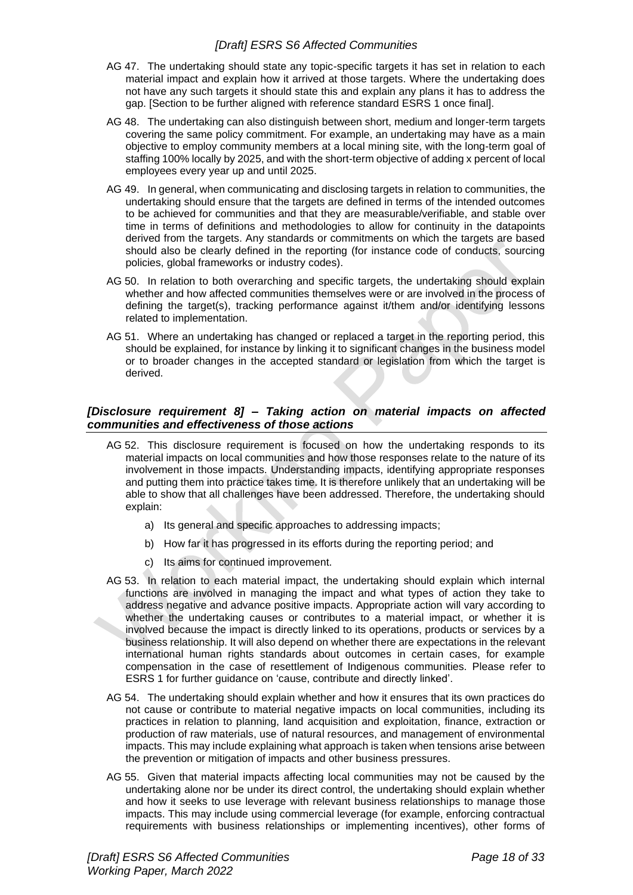- AG 47. The undertaking should state any topic-specific targets it has set in relation to each material impact and explain how it arrived at those targets. Where the undertaking does not have any such targets it should state this and explain any plans it has to address the gap. [Section to be further aligned with reference standard ESRS 1 once final].
- AG 48. The undertaking can also distinguish between short, medium and longer-term targets covering the same policy commitment. For example, an undertaking may have as a main objective to employ community members at a local mining site, with the long-term goal of staffing 100% locally by 2025, and with the short-term objective of adding x percent of local employees every year up and until 2025.
- AG 49. In general, when communicating and disclosing targets in relation to communities, the undertaking should ensure that the targets are defined in terms of the intended outcomes to be achieved for communities and that they are measurable/verifiable, and stable over time in terms of definitions and methodologies to allow for continuity in the datapoints derived from the targets. Any standards or commitments on which the targets are based should also be clearly defined in the reporting (for instance code of conducts, sourcing policies, global frameworks or industry codes).
- AG 50. In relation to both overarching and specific targets, the undertaking should explain whether and how affected communities themselves were or are involved in the process of defining the target(s), tracking performance against it/them and/or identifying lessons related to implementation.
- AG 51. Where an undertaking has changed or replaced a target in the reporting period, this should be explained, for instance by linking it to significant changes in the business model or to broader changes in the accepted standard or legislation from which the target is derived.

#### <span id="page-17-0"></span>*[Disclosure requirement 8] – Taking action on material impacts on affected communities and effectiveness of those actions*

- AG 52. This disclosure requirement is focused on how the undertaking responds to its material impacts on local communities and how those responses relate to the nature of its involvement in those impacts. Understanding impacts, identifying appropriate responses and putting them into practice takes time. It is therefore unlikely that an undertaking will be able to show that all challenges have been addressed. Therefore, the undertaking should explain:
	- a) Its general and specific approaches to addressing impacts;
	- b) How far it has progressed in its efforts during the reporting period; and
	- c) Its aims for continued improvement.
- AG 53. In relation to each material impact, the undertaking should explain which internal functions are involved in managing the impact and what types of action they take to address negative and advance positive impacts. Appropriate action will vary according to whether the undertaking causes or contributes to a material impact, or whether it is involved because the impact is directly linked to its operations, products or services by a business relationship. It will also depend on whether there are expectations in the relevant international human rights standards about outcomes in certain cases, for example compensation in the case of resettlement of Indigenous communities. Please refer to ESRS 1 for further guidance on 'cause, contribute and directly linked'.
- AG 54. The undertaking should explain whether and how it ensures that its own practices do not cause or contribute to material negative impacts on local communities, including its practices in relation to planning, land acquisition and exploitation, finance, extraction or production of raw materials, use of natural resources, and management of environmental impacts. This may include explaining what approach is taken when tensions arise between the prevention or mitigation of impacts and other business pressures.
- AG 55. Given that material impacts affecting local communities may not be caused by the undertaking alone nor be under its direct control, the undertaking should explain whether and how it seeks to use leverage with relevant business relationships to manage those impacts. This may include using commercial leverage (for example, enforcing contractual requirements with business relationships or implementing incentives), other forms of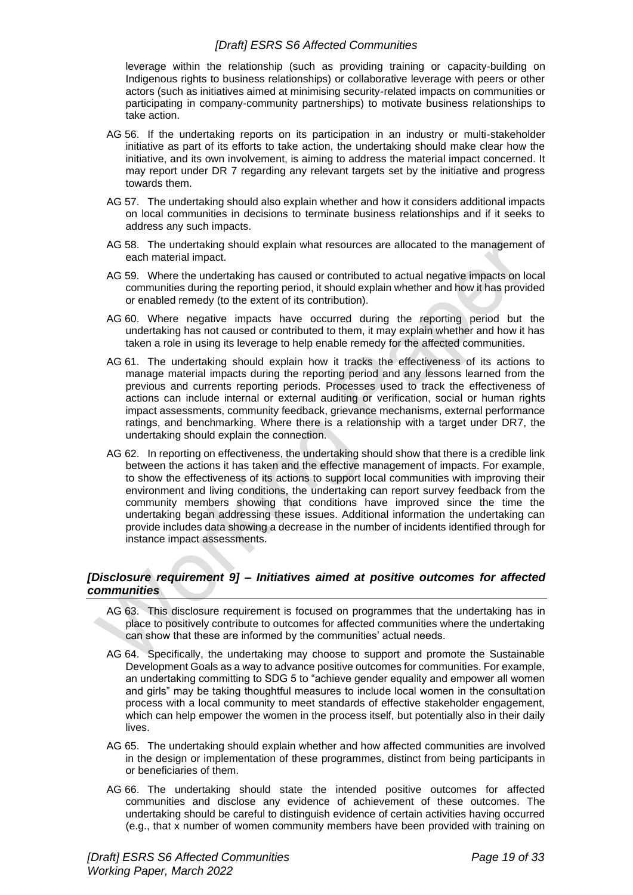leverage within the relationship (such as providing training or capacity-building on Indigenous rights to business relationships) or collaborative leverage with peers or other actors (such as initiatives aimed at minimising security-related impacts on communities or participating in company-community partnerships) to motivate business relationships to take action.

- AG 56. If the undertaking reports on its participation in an industry or multi-stakeholder initiative as part of its efforts to take action, the undertaking should make clear how the initiative, and its own involvement, is aiming to address the material impact concerned. It may report under DR 7 regarding any relevant targets set by the initiative and progress towards them.
- AG 57. The undertaking should also explain whether and how it considers additional impacts on local communities in decisions to terminate business relationships and if it seeks to address any such impacts.
- AG 58. The undertaking should explain what resources are allocated to the management of each material impact.
- AG 59. Where the undertaking has caused or contributed to actual negative impacts on local communities during the reporting period, it should explain whether and how it has provided or enabled remedy (to the extent of its contribution).
- AG 60. Where negative impacts have occurred during the reporting period but the undertaking has not caused or contributed to them, it may explain whether and how it has taken a role in using its leverage to help enable remedy for the affected communities.
- AG 61. The undertaking should explain how it tracks the effectiveness of its actions to manage material impacts during the reporting period and any lessons learned from the previous and currents reporting periods. Processes used to track the effectiveness of actions can include internal or external auditing or verification, social or human rights impact assessments, community feedback, grievance mechanisms, external performance ratings, and benchmarking. Where there is a relationship with a target under DR7, the undertaking should explain the connection.
- AG 62. In reporting on effectiveness, the undertaking should show that there is a credible link between the actions it has taken and the effective management of impacts. For example, to show the effectiveness of its actions to support local communities with improving their environment and living conditions, the undertaking can report survey feedback from the community members showing that conditions have improved since the time the undertaking began addressing these issues. Additional information the undertaking can provide includes data showing a decrease in the number of incidents identified through for instance impact assessments.

#### <span id="page-18-0"></span>*[Disclosure requirement 9] – Initiatives aimed at positive outcomes for affected communities*

- AG 63. This disclosure requirement is focused on programmes that the undertaking has in place to positively contribute to outcomes for affected communities where the undertaking can show that these are informed by the communities' actual needs.
- AG 64. Specifically, the undertaking may choose to support and promote the Sustainable Development Goals as a way to advance positive outcomes for communities. For example, an undertaking committing to SDG 5 to "achieve gender equality and empower all women and girls" may be taking thoughtful measures to include local women in the consultation process with a local community to meet standards of effective stakeholder engagement, which can help empower the women in the process itself, but potentially also in their daily lives.
- AG 65. The undertaking should explain whether and how affected communities are involved in the design or implementation of these programmes, distinct from being participants in or beneficiaries of them.
- AG 66. The undertaking should state the intended positive outcomes for affected communities and disclose any evidence of achievement of these outcomes. The undertaking should be careful to distinguish evidence of certain activities having occurred (e.g., that x number of women community members have been provided with training on

*[Draft] ESRS S6 Affected Communities Page 19 of 33 Working Paper, March 2022*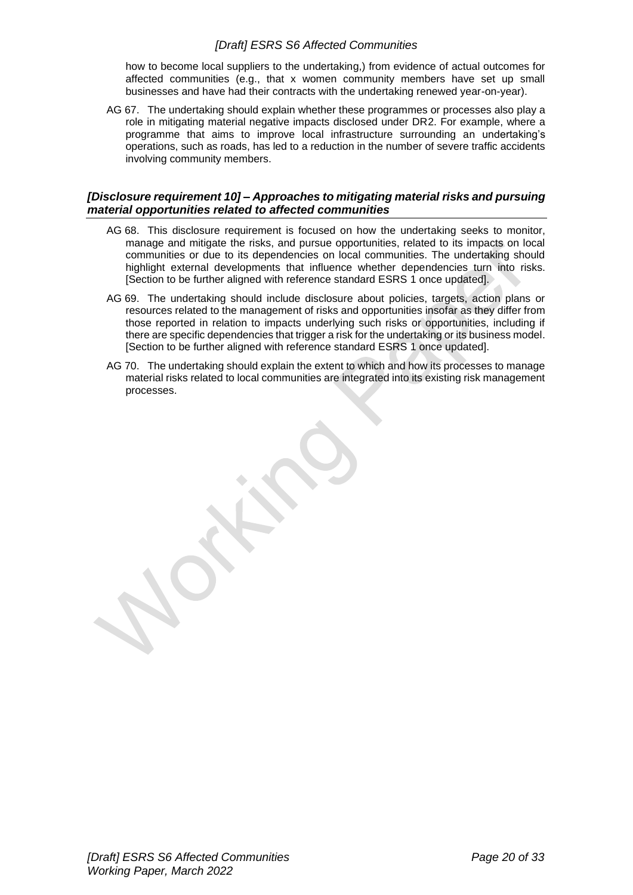how to become local suppliers to the undertaking,) from evidence of actual outcomes for affected communities (e.g., that x women community members have set up small businesses and have had their contracts with the undertaking renewed year-on-year).

AG 67. The undertaking should explain whether these programmes or processes also play a role in mitigating material negative impacts disclosed under DR2. For example, where a programme that aims to improve local infrastructure surrounding an undertaking's operations, such as roads, has led to a reduction in the number of severe traffic accidents involving community members.

#### <span id="page-19-0"></span>*[Disclosure requirement 10] – Approaches to mitigating material risks and pursuing material opportunities related to affected communities*

- AG 68. This disclosure requirement is focused on how the undertaking seeks to monitor, manage and mitigate the risks, and pursue opportunities, related to its impacts on local communities or due to its dependencies on local communities. The undertaking should highlight external developments that influence whether dependencies turn into risks. [Section to be further aligned with reference standard ESRS 1 once updated].
- AG 69. The undertaking should include disclosure about policies, targets, action plans or resources related to the management of risks and opportunities insofar as they differ from those reported in relation to impacts underlying such risks or opportunities, including if there are specific dependencies that trigger a risk for the undertaking or its business model. [Section to be further aligned with reference standard ESRS 1 once updated].
- AG 70. The undertaking should explain the extent to which and how its processes to manage material risks related to local communities are integrated into its existing risk management processes.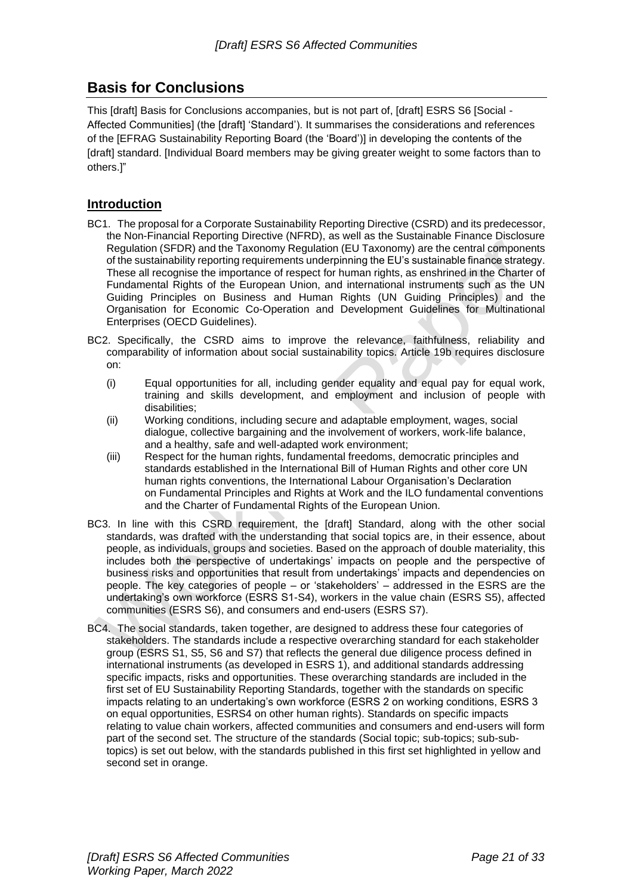# <span id="page-20-0"></span>**Basis for Conclusions**

This [draft] Basis for Conclusions accompanies, but is not part of, [draft] ESRS S6 [Social - Affected Communities] (the [draft] 'Standard'). It summarises the considerations and references of the [EFRAG Sustainability Reporting Board (the 'Board')] in developing the contents of the [draft] standard. [Individual Board members may be giving greater weight to some factors than to others.]"

# **Introduction**

- BC1. The proposal for a Corporate Sustainability Reporting Directive (CSRD) and its predecessor, the Non-Financial Reporting Directive (NFRD), as well as the Sustainable Finance Disclosure Regulation (SFDR) and the Taxonomy Regulation (EU Taxonomy) are the central components of the sustainability reporting requirements underpinning the EU's sustainable finance strategy. These all recognise the importance of respect for human rights, as enshrined in the Charter of Fundamental Rights of the European Union, and international instruments such as the UN Guiding Principles on Business and Human Rights (UN Guiding Principles) and the Organisation for Economic Co-Operation and Development Guidelines for Multinational Enterprises (OECD Guidelines).
- BC2. Specifically, the CSRD aims to improve the relevance, faithfulness, reliability and comparability of information about social sustainability topics. Article 19b requires disclosure on:
	- (i) Equal opportunities for all, including gender equality and equal pay for equal work, training and skills development, and employment and inclusion of people with disabilities;
	- (ii) Working conditions, including secure and adaptable employment, wages, social dialogue, collective bargaining and the involvement of workers, work-life balance, and a healthy, safe and well-adapted work environment;
	- (iii) Respect for the human rights, fundamental freedoms, democratic principles and standards established in the International Bill of Human Rights and other core UN human rights conventions, the International Labour Organisation's Declaration on Fundamental Principles and Rights at Work and the ILO fundamental conventions and the Charter of Fundamental Rights of the European Union.
- BC3. In line with this CSRD requirement, the [draft] Standard, along with the other social standards, was drafted with the understanding that social topics are, in their essence, about people, as individuals, groups and societies. Based on the approach of double materiality, this includes both the perspective of undertakings' impacts on people and the perspective of business risks and opportunities that result from undertakings' impacts and dependencies on people. The key categories of people – or 'stakeholders' – addressed in the ESRS are the undertaking's own workforce (ESRS S1-S4), workers in the value chain (ESRS S5), affected communities (ESRS S6), and consumers and end-users (ESRS S7).
- BC4. The social standards, taken together, are designed to address these four categories of stakeholders. The standards include a respective overarching standard for each stakeholder group (ESRS S1, S5, S6 and S7) that reflects the general due diligence process defined in international instruments (as developed in ESRS 1), and additional standards addressing specific impacts, risks and opportunities. These overarching standards are included in the first set of EU Sustainability Reporting Standards, together with the standards on specific impacts relating to an undertaking's own workforce (ESRS 2 on working conditions, ESRS 3 on equal opportunities, ESRS4 on other human rights). Standards on specific impacts relating to value chain workers, affected communities and consumers and end-users will form part of the second set. The structure of the standards (Social topic; sub-topics; sub-subtopics) is set out below, with the standards published in this first set highlighted in yellow and second set in orange.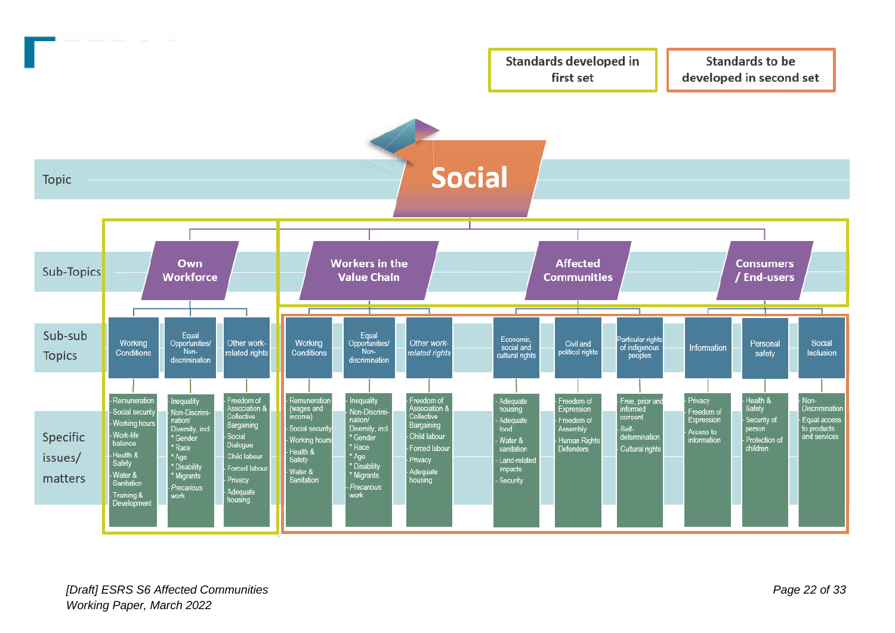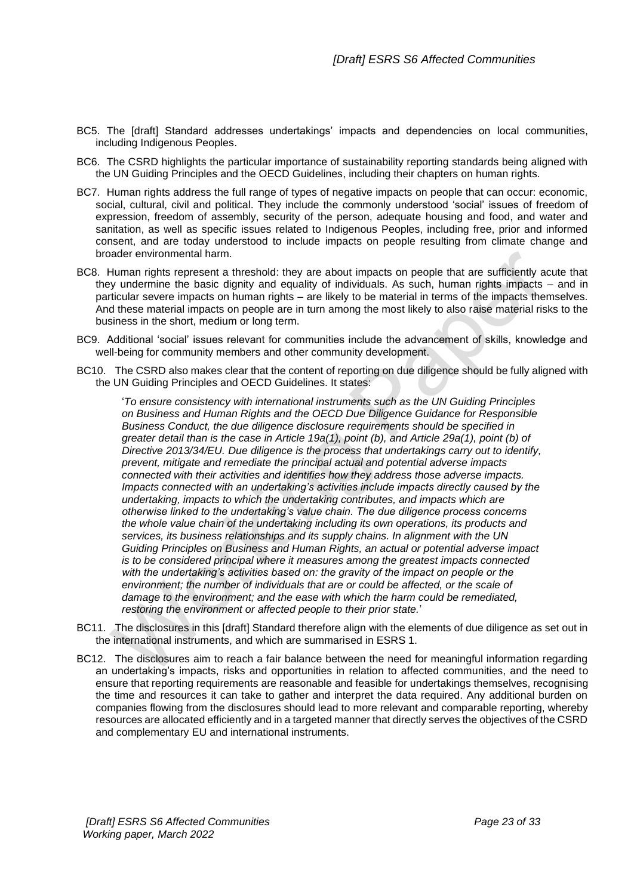- BC5. The [draft] Standard addresses undertakings' impacts and dependencies on local communities, including Indigenous Peoples.
- BC6. The CSRD highlights the particular importance of sustainability reporting standards being aligned with the UN Guiding Principles and the OECD Guidelines, including their chapters on human rights.
- BC7. Human rights address the full range of types of negative impacts on people that can occur: economic, social, cultural, civil and political. They include the commonly understood 'social' issues of freedom of expression, freedom of assembly, security of the person, adequate housing and food, and water and sanitation, as well as specific issues related to Indigenous Peoples, including free, prior and informed consent, and are today understood to include impacts on people resulting from climate change and broader environmental harm.
- BC8. Human rights represent a threshold: they are about impacts on people that are sufficiently acute that they undermine the basic dignity and equality of individuals. As such, human rights impacts – and in particular severe impacts on human rights – are likely to be material in terms of the impacts themselves. And these material impacts on people are in turn among the most likely to also raise material risks to the business in the short, medium or long term.
- BC9. Additional 'social' issues relevant for communities include the advancement of skills, knowledge and well-being for community members and other community development.
- BC10. The CSRD also makes clear that the content of reporting on due diligence should be fully aligned with the UN Guiding Principles and OECD Guidelines. It states:

'*To ensure consistency with international instruments such as the UN Guiding Principles on Business and Human Rights and the OECD Due Diligence Guidance for Responsible Business Conduct, the due diligence disclosure requirements should be specified in greater detail than is the case in Article 19a(1), point (b), and Article 29a(1), point (b) of Directive 2013/34/EU. Due diligence is the process that undertakings carry out to identify, prevent, mitigate and remediate the principal actual and potential adverse impacts connected with their activities and identifies how they address those adverse impacts. Impacts connected with an undertaking's activities include impacts directly caused by the undertaking, impacts to which the undertaking contributes, and impacts which are otherwise linked to the undertaking's value chain. The due diligence process concerns the whole value chain of the undertaking including its own operations, its products and services, its business relationships and its supply chains. In alignment with the UN Guiding Principles on Business and Human Rights, an actual or potential adverse impact is to be considered principal where it measures among the greatest impacts connected with the undertaking's activities based on: the gravity of the impact on people or the environment; the number of individuals that are or could be affected, or the scale of damage to the environment; and the ease with which the harm could be remediated, restoring the environment or affected people to their prior state.*'

- BC11. The disclosures in this [draft] Standard therefore align with the elements of due diligence as set out in the international instruments, and which are summarised in ESRS 1.
- BC12. The disclosures aim to reach a fair balance between the need for meaningful information regarding an undertaking's impacts, risks and opportunities in relation to affected communities, and the need to ensure that reporting requirements are reasonable and feasible for undertakings themselves, recognising the time and resources it can take to gather and interpret the data required. Any additional burden on companies flowing from the disclosures should lead to more relevant and comparable reporting, whereby resources are allocated efficiently and in a targeted manner that directly serves the objectives of the CSRD and complementary EU and international instruments.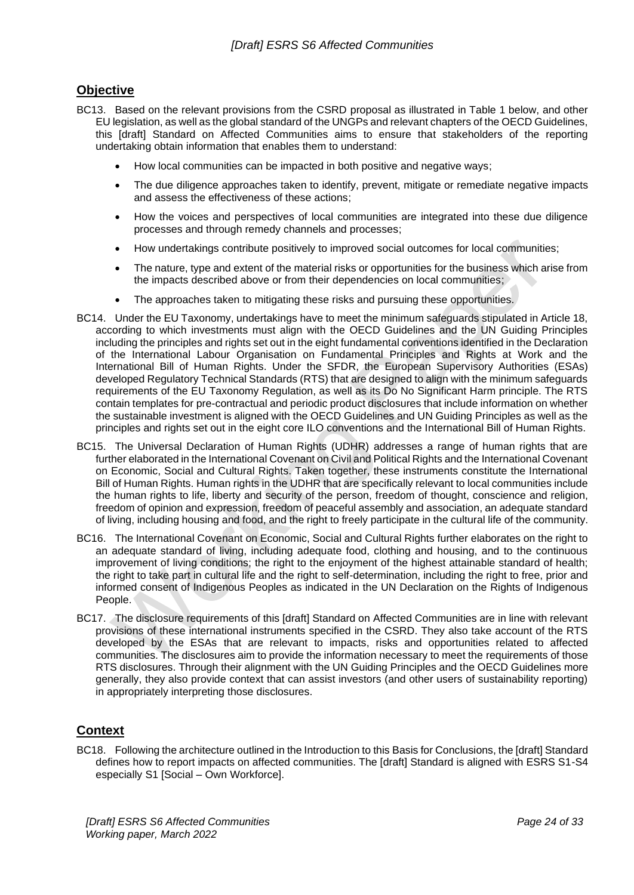# **Objective**

- BC13. Based on the relevant provisions from the CSRD proposal as illustrated in Table 1 below, and other EU legislation, as well as the global standard of the UNGPs and relevant chapters of the OECD Guidelines, this [draft] Standard on Affected Communities aims to ensure that stakeholders of the reporting undertaking obtain information that enables them to understand:
	- How local communities can be impacted in both positive and negative ways;
	- The due diligence approaches taken to identify, prevent, mitigate or remediate negative impacts and assess the effectiveness of these actions;
	- How the voices and perspectives of local communities are integrated into these due diligence processes and through remedy channels and processes;
	- How undertakings contribute positively to improved social outcomes for local communities;
	- The nature, type and extent of the material risks or opportunities for the business which arise from the impacts described above or from their dependencies on local communities;
	- The approaches taken to mitigating these risks and pursuing these opportunities.
- BC14. Under the EU Taxonomy, undertakings have to meet the minimum safeguards stipulated in Article 18, according to which investments must align with the OECD Guidelines and the UN Guiding Principles including the principles and rights set out in the eight fundamental conventions identified in the Declaration of the International Labour Organisation on Fundamental Principles and Rights at Work and the International Bill of Human Rights. Under the SFDR, the European Supervisory Authorities (ESAs) developed Regulatory Technical Standards (RTS) that are designed to align with the minimum safeguards requirements of the EU Taxonomy Regulation, as well as its Do No Significant Harm principle. The RTS contain templates for pre-contractual and periodic product disclosures that include information on whether the sustainable investment is aligned with the OECD Guidelines and UN Guiding Principles as well as the principles and rights set out in the eight core ILO conventions and the International Bill of Human Rights.
- BC15. The Universal Declaration of Human Rights (UDHR) addresses a range of human rights that are further elaborated in the International Covenant on Civil and Political Rights and the International Covenant on Economic, Social and Cultural Rights. Taken together, these instruments constitute the International Bill of Human Rights. Human rights in the UDHR that are specifically relevant to local communities include the human rights to life, liberty and security of the person, freedom of thought, conscience and religion, freedom of opinion and expression, freedom of peaceful assembly and association, an adequate standard of living, including housing and food, and the right to freely participate in the cultural life of the community.
- BC16. The International Covenant on Economic, Social and Cultural Rights further elaborates on the right to an adequate standard of living, including adequate food, clothing and housing, and to the continuous improvement of living conditions; the right to the enjoyment of the highest attainable standard of health; the right to take part in cultural life and the right to self-determination, including the right to free, prior and informed consent of Indigenous Peoples as indicated in the UN Declaration on the Rights of Indigenous People.
- BC17. The disclosure requirements of this [draft] Standard on Affected Communities are in line with relevant provisions of these international instruments specified in the CSRD. They also take account of the RTS developed by the ESAs that are relevant to impacts, risks and opportunities related to affected communities. The disclosures aim to provide the information necessary to meet the requirements of those RTS disclosures. Through their alignment with the UN Guiding Principles and the OECD Guidelines more generally, they also provide context that can assist investors (and other users of sustainability reporting) in appropriately interpreting those disclosures.

# **Context**

BC18. Following the architecture outlined in the Introduction to this Basis for Conclusions, the [draft] Standard defines how to report impacts on affected communities. The [draft] Standard is aligned with ESRS S1-S4 especially S1 [Social – Own Workforce].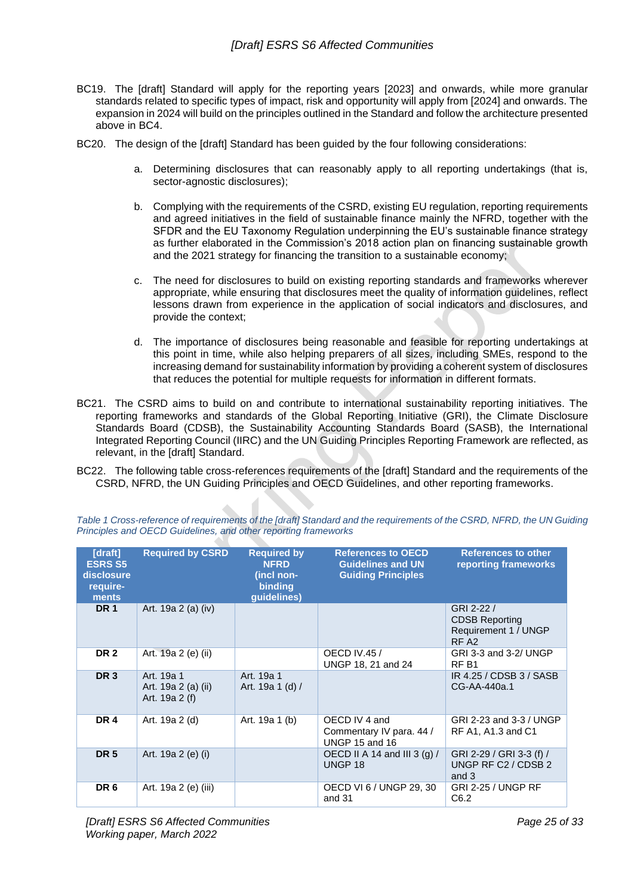- BC19. The [draft] Standard will apply for the reporting years [2023] and onwards, while more granular standards related to specific types of impact, risk and opportunity will apply from [2024] and onwards. The expansion in 2024 will build on the principles outlined in the Standard and follow the architecture presented above in BC4.
- BC20. The design of the [draft] Standard has been guided by the four following considerations:
	- a. Determining disclosures that can reasonably apply to all reporting undertakings (that is, sector-agnostic disclosures);
	- b. Complying with the requirements of the CSRD, existing EU regulation, reporting requirements and agreed initiatives in the field of sustainable finance mainly the NFRD, together with the SFDR and the EU Taxonomy Regulation underpinning the EU's sustainable finance strategy as further elaborated in the Commission's 2018 action plan on financing sustainable growth and the 2021 strategy for financing the transition to a sustainable economy;
	- c. The need for disclosures to build on existing reporting standards and frameworks wherever appropriate, while ensuring that disclosures meet the quality of information guidelines, reflect lessons drawn from experience in the application of social indicators and disclosures, and provide the context;
	- d. The importance of disclosures being reasonable and feasible for reporting undertakings at this point in time, while also helping preparers of all sizes, including SMEs, respond to the increasing demand for sustainability information by providing a coherent system of disclosures that reduces the potential for multiple requests for information in different formats.
- BC21. The CSRD aims to build on and contribute to international sustainability reporting initiatives. The reporting frameworks and standards of the Global Reporting Initiative (GRI), the Climate Disclosure Standards Board (CDSB), the Sustainability Accounting Standards Board (SASB), the International Integrated Reporting Council (IIRC) and the UN Guiding Principles Reporting Framework are reflected, as relevant, in the [draft] Standard.
- BC22. The following table cross-references requirements of the [draft] Standard and the requirements of the CSRD, NFRD, the UN Guiding Principles and OECD Guidelines, and other reporting frameworks.

| [draft]<br><b>ESRS S5</b><br>disclosure<br>require-<br>ments | <b>Required by CSRD</b>                             | <b>Required by</b><br><b>NFRD</b><br>(incl non-<br><b>binding</b><br>guidelines) | <b>References to OECD</b><br><b>Guidelines and UN</b><br><b>Guiding Principles</b> | <b>References to other</b><br>reporting frameworks                              |
|--------------------------------------------------------------|-----------------------------------------------------|----------------------------------------------------------------------------------|------------------------------------------------------------------------------------|---------------------------------------------------------------------------------|
| <b>DR1</b>                                                   | Art. 19a 2 (a) (iv)                                 |                                                                                  |                                                                                    | GRI 2-22 /<br><b>CDSB Reporting</b><br>Requirement 1 / UNGP<br>RF <sub>A2</sub> |
| <b>DR2</b>                                                   | Art. 19a 2 (e) (ii)                                 |                                                                                  | <b>OECD IV.45 /</b><br>UNGP 18, 21 and 24                                          | GRI 3-3 and 3-2/ UNGP<br>RF <sub>B1</sub>                                       |
| DR <sub>3</sub>                                              | Art. 19a 1<br>Art. 19a 2 (a) (ii)<br>Art. 19a 2 (f) | Art. 19a 1<br>Art. 19a 1 (d) /                                                   |                                                                                    | IR 4.25 / CDSB 3 / SASB<br>CG-AA-440a.1                                         |
| <b>DR4</b>                                                   | Art. 19a 2 (d)                                      | Art. 19a 1 (b)                                                                   | OECD IV 4 and<br>Commentary IV para. 44 /<br><b>UNGP 15 and 16</b>                 | GRI 2-23 and 3-3 / UNGP<br>RF A1, A1.3 and C1                                   |
| <b>DR 5</b>                                                  | Art. 19a 2 (e) (i)                                  |                                                                                  | OECD II A 14 and III 3 (g) /<br>UNGP <sub>18</sub>                                 | GRI 2-29 / GRI 3-3 (f) /<br>UNGP RF C2 / CDSB 2<br>and 3                        |
| DR <sub>6</sub>                                              | Art. 19a 2 (e) (iii)                                |                                                                                  | OECD VI 6 / UNGP 29, 30<br>and 31                                                  | <b>GRI 2-25 / UNGP RF</b><br>C6.2                                               |

*Table 1 Cross-reference of requirements of the [draft] Standard and the requirements of the CSRD, NFRD, the UN Guiding Principles and OECD Guidelines, and other reporting frameworks*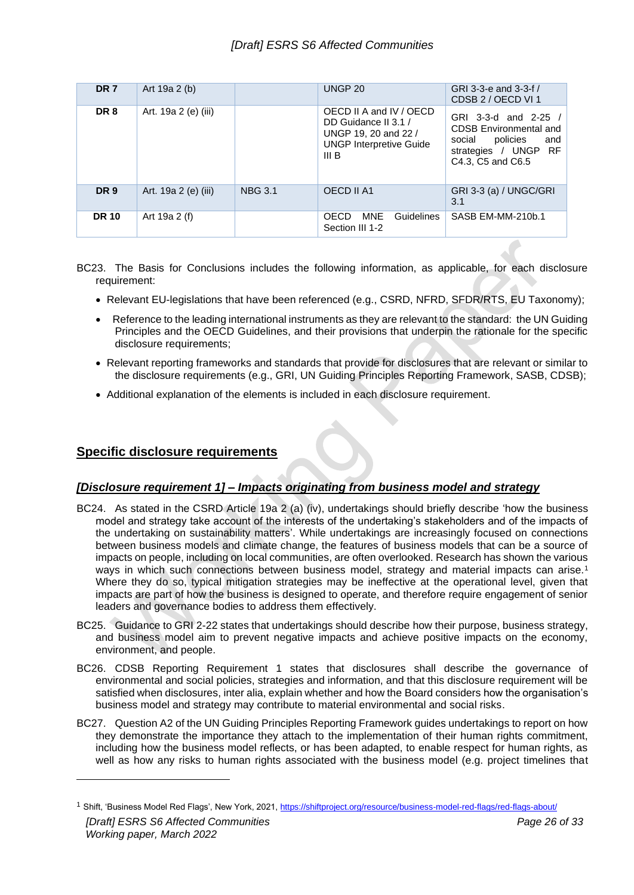| DR <sub>7</sub> | Art 19a 2 (b)        |                | UNGP <sub>20</sub>                                                                                                 | GRI 3-3-e and 3-3-f /<br>CDSB 2 / OECD VI 1                                                                                     |
|-----------------|----------------------|----------------|--------------------------------------------------------------------------------------------------------------------|---------------------------------------------------------------------------------------------------------------------------------|
| DR <sub>8</sub> | Art. 19a 2 (e) (iii) |                | OECD II A and IV / OECD<br>DD Guidance II 3.1 /<br>UNGP 19, 20 and 22 /<br><b>UNGP Interpretive Guide</b><br>III B | GRI 3-3-d and 2-25 /<br><b>CDSB Environmental and</b><br>policies<br>social<br>and<br>strategies / UNGP RF<br>C4.3, C5 and C6.5 |
| <b>DR9</b>      | Art. 19a 2 (e) (iii) | <b>NBG 3.1</b> | OECD II A1                                                                                                         | GRI 3-3 (a) / UNGC/GRI<br>3.1                                                                                                   |
| <b>DR 10</b>    | Art 19a 2 (f)        |                | <b>Guidelines</b><br><b>MNE</b><br>OECD.<br>Section III 1-2                                                        | SASB EM-MM-210b.1                                                                                                               |

- BC23. The Basis for Conclusions includes the following information, as applicable, for each disclosure requirement:
	- Relevant EU-legislations that have been referenced (e.g., CSRD, NFRD, SFDR/RTS, EU Taxonomy);
	- Reference to the leading international instruments as they are relevant to the standard: the UN Guiding Principles and the OECD Guidelines, and their provisions that underpin the rationale for the specific disclosure requirements;
	- Relevant reporting frameworks and standards that provide for disclosures that are relevant or similar to the disclosure requirements (e.g., GRI, UN Guiding Principles Reporting Framework, SASB, CDSB);
	- Additional explanation of the elements is included in each disclosure requirement.

# **Specific disclosure requirements**

# *[Disclosure requirement 1] – Impacts originating from business model and strategy*

- BC24. As stated in the CSRD Article 19a 2 (a) (iv), undertakings should briefly describe 'how the business model and strategy take account of the interests of the undertaking's stakeholders and of the impacts of the undertaking on sustainability matters'. While undertakings are increasingly focused on connections between business models and climate change, the features of business models that can be a source of impacts on people, including on local communities, are often overlooked. Research has shown the various ways in which such connections between business model, strategy and material impacts can arise.<sup>1</sup> Where they do so, typical mitigation strategies may be ineffective at the operational level, given that impacts are part of how the business is designed to operate, and therefore require engagement of senior leaders and governance bodies to address them effectively.
- BC25. Guidance to GRI 2-22 states that undertakings should describe how their purpose, business strategy, and business model aim to prevent negative impacts and achieve positive impacts on the economy, environment, and people.
- BC26. CDSB Reporting Requirement 1 states that disclosures shall describe the governance of environmental and social policies, strategies and information, and that this disclosure requirement will be satisfied when disclosures, inter alia, explain whether and how the Board considers how the organisation's business model and strategy may contribute to material environmental and social risks.
- BC27. Question A2 of the UN Guiding Principles Reporting Framework guides undertakings to report on how they demonstrate the importance they attach to the implementation of their human rights commitment, including how the business model reflects, or has been adapted, to enable respect for human rights, as well as how any risks to human rights associated with the business model (e.g. project timelines that

*<sup>[</sup>Draft] ESRS S6 Affected Communities Working paper, March 2022 Page 26 of 33* <sup>1</sup> Shift, 'Business Model Red Flags', New York, 2021[, https://shiftproject.org/resource/business-model-red-flags/red-flags-about/](https://shiftproject.org/resource/business-model-red-flags/red-flags-about/)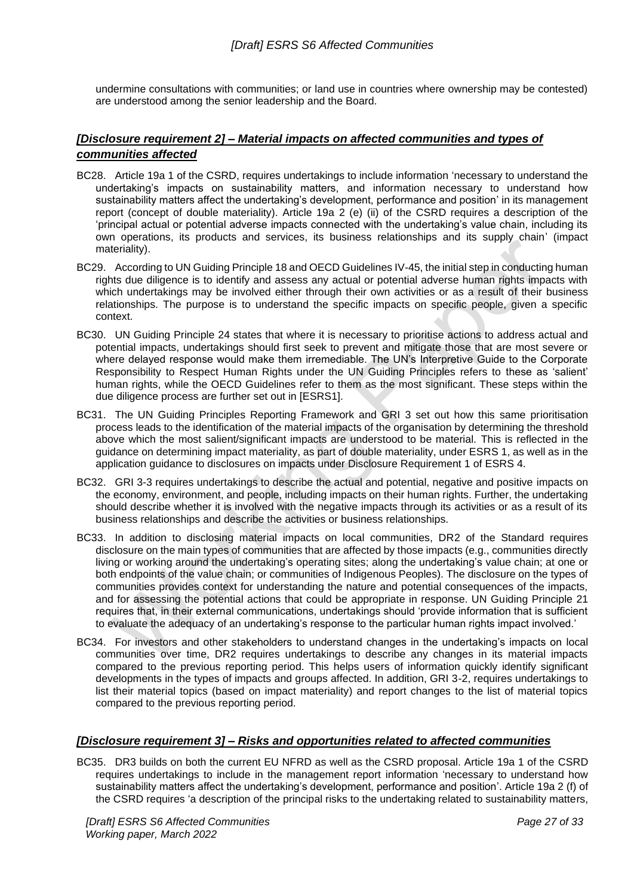undermine consultations with communities; or land use in countries where ownership may be contested) are understood among the senior leadership and the Board.

# *[Disclosure requirement 2] – Material impacts on affected communities and types of communities affected*

- BC28. Article 19a 1 of the CSRD, requires undertakings to include information 'necessary to understand the undertaking's impacts on sustainability matters, and information necessary to understand how sustainability matters affect the undertaking's development, performance and position' in its management report (concept of double materiality). Article 19a 2 (e) (ii) of the CSRD requires a description of the 'principal actual or potential adverse impacts connected with the undertaking's value chain, including its own operations, its products and services, its business relationships and its supply chain' (impact materiality).
- BC29. According to UN Guiding Principle 18 and OECD Guidelines IV-45, the initial step in conducting human rights due diligence is to identify and assess any actual or potential adverse human rights impacts with which undertakings may be involved either through their own activities or as a result of their business relationships. The purpose is to understand the specific impacts on specific people, given a specific context.
- BC30. UN Guiding Principle 24 states that where it is necessary to prioritise actions to address actual and potential impacts, undertakings should first seek to prevent and mitigate those that are most severe or where delayed response would make them irremediable. The UN's Interpretive Guide to the Corporate Responsibility to Respect Human Rights under the UN Guiding Principles refers to these as 'salient' human rights, while the OECD Guidelines refer to them as the most significant. These steps within the due diligence process are further set out in [ESRS1].
- BC31. The UN Guiding Principles Reporting Framework and GRI 3 set out how this same prioritisation process leads to the identification of the material impacts of the organisation by determining the threshold above which the most salient/significant impacts are understood to be material. This is reflected in the guidance on determining impact materiality, as part of double materiality, under ESRS 1, as well as in the application guidance to disclosures on impacts under Disclosure Requirement 1 of ESRS 4.
- BC32. GRI 3-3 requires undertakings to describe the actual and potential, negative and positive impacts on the economy, environment, and people, including impacts on their human rights. Further, the undertaking should describe whether it is involved with the negative impacts through its activities or as a result of its business relationships and describe the activities or business relationships.
- BC33. In addition to disclosing material impacts on local communities, DR2 of the Standard requires disclosure on the main types of communities that are affected by those impacts (e.g., communities directly living or working around the undertaking's operating sites; along the undertaking's value chain; at one or both endpoints of the value chain; or communities of Indigenous Peoples). The disclosure on the types of communities provides context for understanding the nature and potential consequences of the impacts, and for assessing the potential actions that could be appropriate in response. UN Guiding Principle 21 requires that, in their external communications, undertakings should 'provide information that is sufficient to evaluate the adequacy of an undertaking's response to the particular human rights impact involved.'
- BC34. For investors and other stakeholders to understand changes in the undertaking's impacts on local communities over time, DR2 requires undertakings to describe any changes in its material impacts compared to the previous reporting period. This helps users of information quickly identify significant developments in the types of impacts and groups affected. In addition, GRI 3-2, requires undertakings to list their material topics (based on impact materiality) and report changes to the list of material topics compared to the previous reporting period.

# *[Disclosure requirement 3] – Risks and opportunities related to affected communities*

BC35. DR3 builds on both the current EU NFRD as well as the CSRD proposal. Article 19a 1 of the CSRD requires undertakings to include in the management report information 'necessary to understand how sustainability matters affect the undertaking's development, performance and position'. Article 19a 2 (f) of the CSRD requires 'a description of the principal risks to the undertaking related to sustainability matters,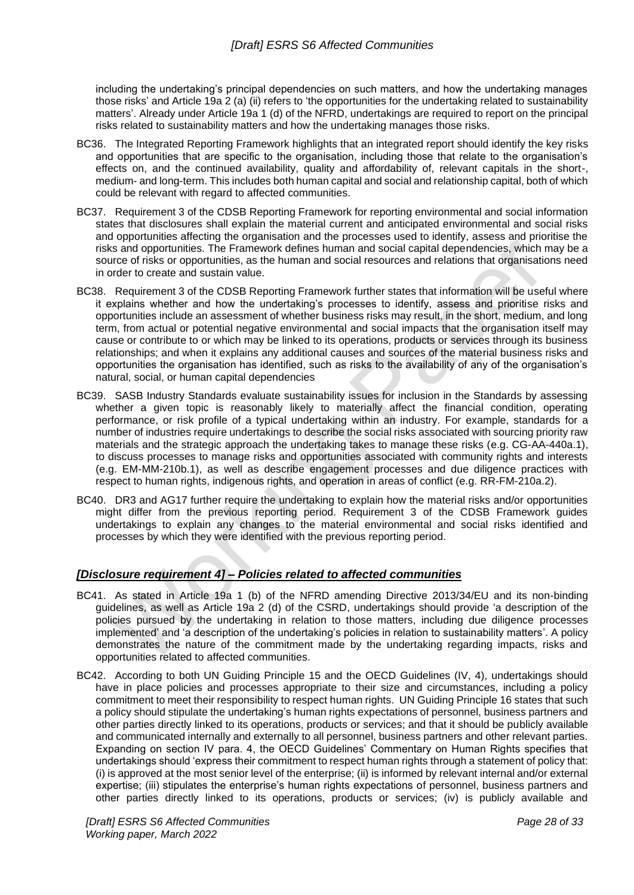including the undertaking's principal dependencies on such matters, and how the undertaking manages those risks' and Article 19a 2 (a) (ii) refers to 'the opportunities for the undertaking related to sustainability matters'. Already under Article 19a 1 (d) of the NFRD, undertakings are required to report on the principal risks related to sustainability matters and how the undertaking manages those risks.

- BC36. The Integrated Reporting Framework highlights that an integrated report should identify the key risks and opportunities that are specific to the organisation, including those that relate to the organisation's effects on, and the continued availability, quality and affordability of, relevant capitals in the short-, medium- and long-term. This includes both human capital and social and relationship capital, both of which could be relevant with regard to affected communities.
- BC37. Requirement 3 of the CDSB Reporting Framework for reporting environmental and social information states that disclosures shall explain the material current and anticipated environmental and social risks and opportunities affecting the organisation and the processes used to identify, assess and prioritise the risks and opportunities. The Framework defines human and social capital dependencies, which may be a source of risks or opportunities, as the human and social resources and relations that organisations need in order to create and sustain value.
- BC38. Requirement 3 of the CDSB Reporting Framework further states that information will be useful where it explains whether and how the undertaking's processes to identify, assess and prioritise risks and opportunities include an assessment of whether business risks may result, in the short, medium, and long term, from actual or potential negative environmental and social impacts that the organisation itself may cause or contribute to or which may be linked to its operations, products or services through its business relationships; and when it explains any additional causes and sources of the material business risks and opportunities the organisation has identified, such as risks to the availability of any of the organisation's natural, social, or human capital dependencies
- BC39. SASB Industry Standards evaluate sustainability issues for inclusion in the Standards by assessing whether a given topic is reasonably likely to materially affect the financial condition, operating performance, or risk profile of a typical undertaking within an industry. For example, standards for a number of industries require undertakings to describe the social risks associated with sourcing priority raw materials and the strategic approach the undertaking takes to manage these risks (e.g. CG-AA-440a.1), to discuss processes to manage risks and opportunities associated with community rights and interests (e.g. EM-MM-210b.1), as well as describe engagement processes and due diligence practices with respect to human rights, indigenous rights, and operation in areas of conflict (e.g. RR-FM-210a.2).
- BC40. DR3 and AG17 further require the undertaking to explain how the material risks and/or opportunities might differ from the previous reporting period. Requirement 3 of the CDSB Framework guides undertakings to explain any changes to the material environmental and social risks identified and processes by which they were identified with the previous reporting period.

#### *[Disclosure requirement 4] – Policies related to affected communities*

- BC41. As stated in Article 19a 1 (b) of the NFRD amending Directive 2013/34/EU and its non-binding guidelines, as well as Article 19a 2 (d) of the CSRD, undertakings should provide 'a description of the policies pursued by the undertaking in relation to those matters, including due diligence processes implemented' and 'a description of the undertaking's policies in relation to sustainability matters'. A policy demonstrates the nature of the commitment made by the undertaking regarding impacts, risks and opportunities related to affected communities.
- BC42. According to both UN Guiding Principle 15 and the OECD Guidelines (IV, 4), undertakings should have in place policies and processes appropriate to their size and circumstances, including a policy commitment to meet their responsibility to respect human rights. UN Guiding Principle 16 states that such a policy should stipulate the undertaking's human rights expectations of personnel, business partners and other parties directly linked to its operations, products or services; and that it should be publicly available and communicated internally and externally to all personnel, business partners and other relevant parties. Expanding on section IV para. 4, the OECD Guidelines' Commentary on Human Rights specifies that undertakings should 'express their commitment to respect human rights through a statement of policy that: (i) is approved at the most senior level of the enterprise; (ii) is informed by relevant internal and/or external expertise; (iii) stipulates the enterprise's human rights expectations of personnel, business partners and other parties directly linked to its operations, products or services; (iv) is publicly available and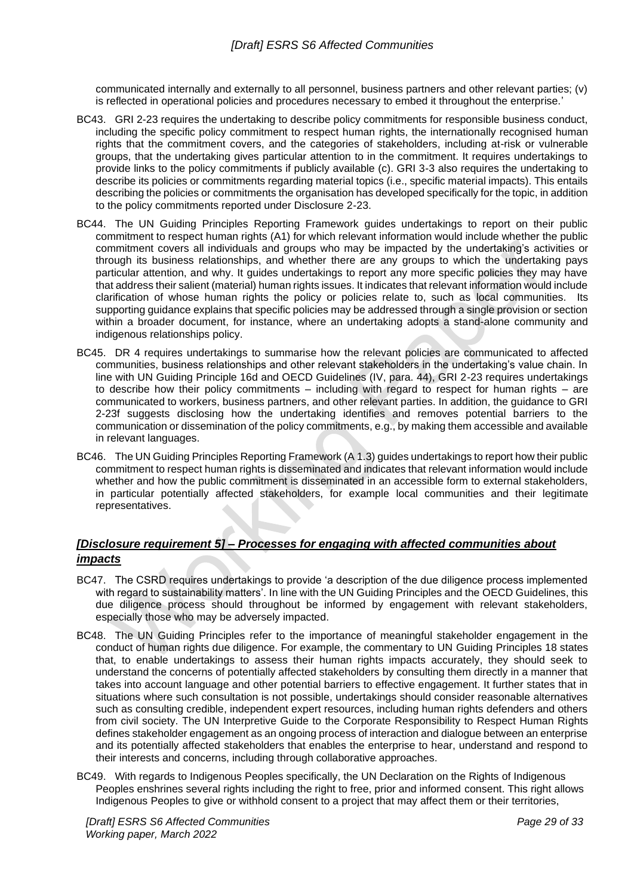communicated internally and externally to all personnel, business partners and other relevant parties; (v) is reflected in operational policies and procedures necessary to embed it throughout the enterprise.'

- BC43. GRI 2-23 requires the undertaking to describe policy commitments for responsible business conduct, including the specific policy commitment to respect human rights, the internationally recognised human rights that the commitment covers, and the categories of stakeholders, including at-risk or vulnerable groups, that the undertaking gives particular attention to in the commitment. It requires undertakings to provide links to the policy commitments if publicly available (c). GRI 3-3 also requires the undertaking to describe its policies or commitments regarding material topics (i.e., specific material impacts). This entails describing the policies or commitments the organisation has developed specifically for the topic, in addition to the policy commitments reported under Disclosure 2-23.
- BC44. The UN Guiding Principles Reporting Framework guides undertakings to report on their public commitment to respect human rights (A1) for which relevant information would include whether the public commitment covers all individuals and groups who may be impacted by the undertaking's activities or through its business relationships, and whether there are any groups to which the undertaking pays particular attention, and why. It guides undertakings to report any more specific policies they may have that address their salient (material) human rights issues. It indicates that relevant information would include clarification of whose human rights the policy or policies relate to, such as local communities. Its supporting guidance explains that specific policies may be addressed through a single provision or section within a broader document, for instance, where an undertaking adopts a stand-alone community and indigenous relationships policy.
- BC45. DR 4 requires undertakings to summarise how the relevant policies are communicated to affected communities, business relationships and other relevant stakeholders in the undertaking's value chain. In line with UN Guiding Principle 16d and OECD Guidelines (IV, para. 44), GRI 2-23 requires undertakings to describe how their policy commitments – including with regard to respect for human rights – are communicated to workers, business partners, and other relevant parties. In addition, the guidance to GRI 2-23f suggests disclosing how the undertaking identifies and removes potential barriers to the communication or dissemination of the policy commitments, e.g., by making them accessible and available in relevant languages.
- BC46. The UN Guiding Principles Reporting Framework (A 1.3) guides undertakings to report how their public commitment to respect human rights is disseminated and indicates that relevant information would include whether and how the public commitment is disseminated in an accessible form to external stakeholders, in particular potentially affected stakeholders, for example local communities and their legitimate representatives.

# *[Disclosure requirement 5] – Processes for engaging with affected communities about impacts*

- BC47. The CSRD requires undertakings to provide 'a description of the due diligence process implemented with regard to sustainability matters'. In line with the UN Guiding Principles and the OECD Guidelines, this due diligence process should throughout be informed by engagement with relevant stakeholders, especially those who may be adversely impacted.
- BC48. The UN Guiding Principles refer to the importance of meaningful stakeholder engagement in the conduct of human rights due diligence. For example, the commentary to UN Guiding Principles 18 states that, to enable undertakings to assess their human rights impacts accurately, they should seek to understand the concerns of potentially affected stakeholders by consulting them directly in a manner that takes into account language and other potential barriers to effective engagement. It further states that in situations where such consultation is not possible, undertakings should consider reasonable alternatives such as consulting credible, independent expert resources, including human rights defenders and others from civil society. The UN Interpretive Guide to the Corporate Responsibility to Respect Human Rights defines stakeholder engagement as an ongoing process of interaction and dialogue between an enterprise and its potentially affected stakeholders that enables the enterprise to hear, understand and respond to their interests and concerns, including through collaborative approaches.
- BC49. With regards to Indigenous Peoples specifically, the UN Declaration on the Rights of Indigenous Peoples enshrines several rights including the right to free, prior and informed consent. This right allows Indigenous Peoples to give or withhold consent to a project that may affect them or their territories,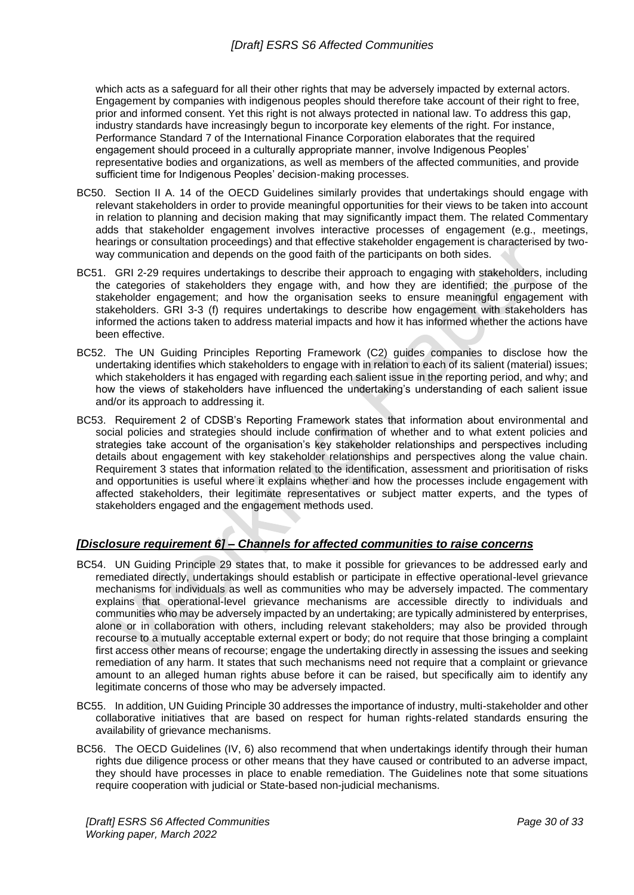which acts as a safeguard for all their other rights that may be adversely impacted by external actors. Engagement by companies with indigenous peoples should therefore take account of their right to free, prior and informed consent. Yet this right is not always protected in national law. To address this gap, industry standards have increasingly begun to incorporate key elements of the right. For instance, Performance Standard 7 of the International Finance Corporation elaborates that the required engagement should proceed in a culturally appropriate manner, involve Indigenous Peoples' representative bodies and organizations, as well as members of the affected communities, and provide sufficient time for Indigenous Peoples' decision-making processes.

- BC50. Section II A. 14 of the OECD Guidelines similarly provides that undertakings should engage with relevant stakeholders in order to provide meaningful opportunities for their views to be taken into account in relation to planning and decision making that may significantly impact them. The related Commentary adds that stakeholder engagement involves interactive processes of engagement (e.g., meetings, hearings or consultation proceedings) and that effective stakeholder engagement is characterised by twoway communication and depends on the good faith of the participants on both sides.
- BC51. GRI 2-29 requires undertakings to describe their approach to engaging with stakeholders, including the categories of stakeholders they engage with, and how they are identified; the purpose of the stakeholder engagement; and how the organisation seeks to ensure meaningful engagement with stakeholders. GRI 3-3 (f) requires undertakings to describe how engagement with stakeholders has informed the actions taken to address material impacts and how it has informed whether the actions have been effective.
- BC52. The UN Guiding Principles Reporting Framework (C2) guides companies to disclose how the undertaking identifies which stakeholders to engage with in relation to each of its salient (material) issues; which stakeholders it has engaged with regarding each salient issue in the reporting period, and why; and how the views of stakeholders have influenced the undertaking's understanding of each salient issue and/or its approach to addressing it.
- BC53. Requirement 2 of CDSB's Reporting Framework states that information about environmental and social policies and strategies should include confirmation of whether and to what extent policies and strategies take account of the organisation's key stakeholder relationships and perspectives including details about engagement with key stakeholder relationships and perspectives along the value chain. Requirement 3 states that information related to the identification, assessment and prioritisation of risks and opportunities is useful where it explains whether and how the processes include engagement with affected stakeholders, their legitimate representatives or subject matter experts, and the types of stakeholders engaged and the engagement methods used.

# *[Disclosure requirement 6] – Channels for affected communities to raise concerns*

- BC54. UN Guiding Principle 29 states that, to make it possible for grievances to be addressed early and remediated directly, undertakings should establish or participate in effective operational-level grievance mechanisms for individuals as well as communities who may be adversely impacted. The commentary explains that operational-level grievance mechanisms are accessible directly to individuals and communities who may be adversely impacted by an undertaking; are typically administered by enterprises, alone or in collaboration with others, including relevant stakeholders; may also be provided through recourse to a mutually acceptable external expert or body; do not require that those bringing a complaint first access other means of recourse; engage the undertaking directly in assessing the issues and seeking remediation of any harm. It states that such mechanisms need not require that a complaint or grievance amount to an alleged human rights abuse before it can be raised, but specifically aim to identify any legitimate concerns of those who may be adversely impacted.
- BC55. In addition, UN Guiding Principle 30 addresses the importance of industry, multi-stakeholder and other collaborative initiatives that are based on respect for human rights-related standards ensuring the availability of grievance mechanisms.
- BC56. The OECD Guidelines (IV, 6) also recommend that when undertakings identify through their human rights due diligence process or other means that they have caused or contributed to an adverse impact, they should have processes in place to enable remediation. The Guidelines note that some situations require cooperation with judicial or State-based non-judicial mechanisms.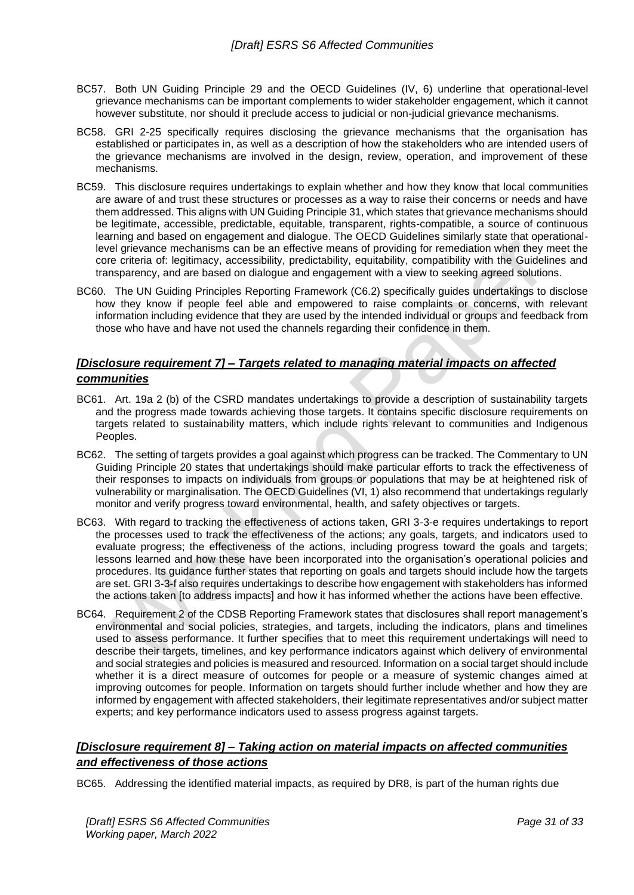- BC57. Both UN Guiding Principle 29 and the OECD Guidelines (IV, 6) underline that operational-level grievance mechanisms can be important complements to wider stakeholder engagement, which it cannot however substitute, nor should it preclude access to judicial or non-judicial grievance mechanisms.
- BC58. GRI 2-25 specifically requires disclosing the grievance mechanisms that the organisation has established or participates in, as well as a description of how the stakeholders who are intended users of the grievance mechanisms are involved in the design, review, operation, and improvement of these mechanisms.
- BC59. This disclosure requires undertakings to explain whether and how they know that local communities are aware of and trust these structures or processes as a way to raise their concerns or needs and have them addressed. This aligns with UN Guiding Principle 31, which states that grievance mechanisms should be legitimate, accessible, predictable, equitable, transparent, rights-compatible, a source of continuous learning and based on engagement and dialogue. The OECD Guidelines similarly state that operationallevel grievance mechanisms can be an effective means of providing for remediation when they meet the core criteria of: legitimacy, accessibility, predictability, equitability, compatibility with the Guidelines and transparency, and are based on dialogue and engagement with a view to seeking agreed solutions.
- BC60. The UN Guiding Principles Reporting Framework (C6.2) specifically guides undertakings to disclose how they know if people feel able and empowered to raise complaints or concerns, with relevant information including evidence that they are used by the intended individual or groups and feedback from those who have and have not used the channels regarding their confidence in them.

## *[Disclosure requirement 7] – Targets related to managing material impacts on affected communities*

- BC61. Art. 19a 2 (b) of the CSRD mandates undertakings to provide a description of sustainability targets and the progress made towards achieving those targets. It contains specific disclosure requirements on targets related to sustainability matters, which include rights relevant to communities and Indigenous Peoples.
- BC62. The setting of targets provides a goal against which progress can be tracked. The Commentary to UN Guiding Principle 20 states that undertakings should make particular efforts to track the effectiveness of their responses to impacts on individuals from groups or populations that may be at heightened risk of vulnerability or marginalisation. The OECD Guidelines (VI, 1) also recommend that undertakings regularly monitor and verify progress toward environmental, health, and safety objectives or targets.
- BC63. With regard to tracking the effectiveness of actions taken, GRI 3-3-e requires undertakings to report the processes used to track the effectiveness of the actions; any goals, targets, and indicators used to evaluate progress; the effectiveness of the actions, including progress toward the goals and targets; lessons learned and how these have been incorporated into the organisation's operational policies and procedures. Its guidance further states that reporting on goals and targets should include how the targets are set. GRI 3-3-f also requires undertakings to describe how engagement with stakeholders has informed the actions taken [to address impacts] and how it has informed whether the actions have been effective.
- BC64. Requirement 2 of the CDSB Reporting Framework states that disclosures shall report management's environmental and social policies, strategies, and targets, including the indicators, plans and timelines used to assess performance. It further specifies that to meet this requirement undertakings will need to describe their targets, timelines, and key performance indicators against which delivery of environmental and social strategies and policies is measured and resourced. Information on a social target should include whether it is a direct measure of outcomes for people or a measure of systemic changes aimed at improving outcomes for people. Information on targets should further include whether and how they are informed by engagement with affected stakeholders, their legitimate representatives and/or subject matter experts; and key performance indicators used to assess progress against targets.

# *[Disclosure requirement 8] – Taking action on material impacts on affected communities and effectiveness of those actions*

BC65. Addressing the identified material impacts, as required by DR8, is part of the human rights due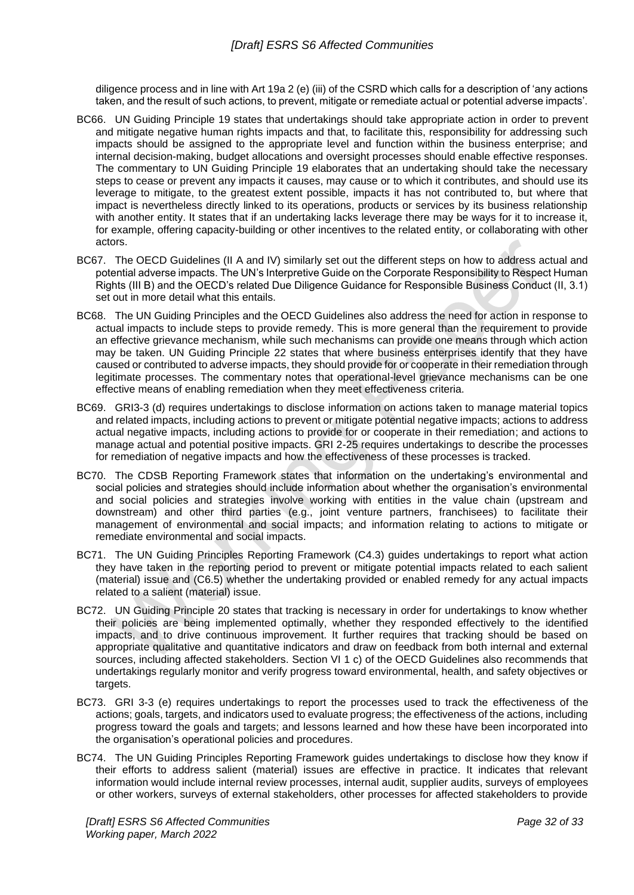diligence process and in line with Art 19a 2 (e) (iii) of the CSRD which calls for a description of 'any actions taken, and the result of such actions, to prevent, mitigate or remediate actual or potential adverse impacts'.

- BC66. UN Guiding Principle 19 states that undertakings should take appropriate action in order to prevent and mitigate negative human rights impacts and that, to facilitate this, responsibility for addressing such impacts should be assigned to the appropriate level and function within the business enterprise; and internal decision-making, budget allocations and oversight processes should enable effective responses. The commentary to UN Guiding Principle 19 elaborates that an undertaking should take the necessary steps to cease or prevent any impacts it causes, may cause or to which it contributes, and should use its leverage to mitigate, to the greatest extent possible, impacts it has not contributed to, but where that impact is nevertheless directly linked to its operations, products or services by its business relationship with another entity. It states that if an undertaking lacks leverage there may be ways for it to increase it, for example, offering capacity-building or other incentives to the related entity, or collaborating with other actors.
- BC67. The OECD Guidelines (II A and IV) similarly set out the different steps on how to address actual and potential adverse impacts. The UN's Interpretive Guide on the Corporate Responsibility to Respect Human Rights (III B) and the OECD's related Due Diligence Guidance for Responsible Business Conduct (II, 3.1) set out in more detail what this entails.
- BC68. The UN Guiding Principles and the OECD Guidelines also address the need for action in response to actual impacts to include steps to provide remedy. This is more general than the requirement to provide an effective grievance mechanism, while such mechanisms can provide one means through which action may be taken. UN Guiding Principle 22 states that where business enterprises identify that they have caused or contributed to adverse impacts, they should provide for or cooperate in their remediation through legitimate processes. The commentary notes that operational-level grievance mechanisms can be one effective means of enabling remediation when they meet effectiveness criteria.
- BC69. GRI3-3 (d) requires undertakings to disclose information on actions taken to manage material topics and related impacts, including actions to prevent or mitigate potential negative impacts; actions to address actual negative impacts, including actions to provide for or cooperate in their remediation; and actions to manage actual and potential positive impacts. GRI 2-25 requires undertakings to describe the processes for remediation of negative impacts and how the effectiveness of these processes is tracked.
- BC70. The CDSB Reporting Framework states that information on the undertaking's environmental and social policies and strategies should include information about whether the organisation's environmental and social policies and strategies involve working with entities in the value chain (upstream and downstream) and other third parties (e.g., joint venture partners, franchisees) to facilitate their management of environmental and social impacts; and information relating to actions to mitigate or remediate environmental and social impacts.
- BC71. The UN Guiding Principles Reporting Framework (C4.3) guides undertakings to report what action they have taken in the reporting period to prevent or mitigate potential impacts related to each salient (material) issue and (C6.5) whether the undertaking provided or enabled remedy for any actual impacts related to a salient (material) issue.
- BC72. UN Guiding Principle 20 states that tracking is necessary in order for undertakings to know whether their policies are being implemented optimally, whether they responded effectively to the identified impacts, and to drive continuous improvement. It further requires that tracking should be based on appropriate qualitative and quantitative indicators and draw on feedback from both internal and external sources, including affected stakeholders. Section VI 1 c) of the OECD Guidelines also recommends that undertakings regularly monitor and verify progress toward environmental, health, and safety objectives or targets.
- BC73. GRI 3-3 (e) requires undertakings to report the processes used to track the effectiveness of the actions; goals, targets, and indicators used to evaluate progress; the effectiveness of the actions, including progress toward the goals and targets; and lessons learned and how these have been incorporated into the organisation's operational policies and procedures.
- BC74. The UN Guiding Principles Reporting Framework guides undertakings to disclose how they know if their efforts to address salient (material) issues are effective in practice. It indicates that relevant information would include internal review processes, internal audit, supplier audits, surveys of employees or other workers, surveys of external stakeholders, other processes for affected stakeholders to provide